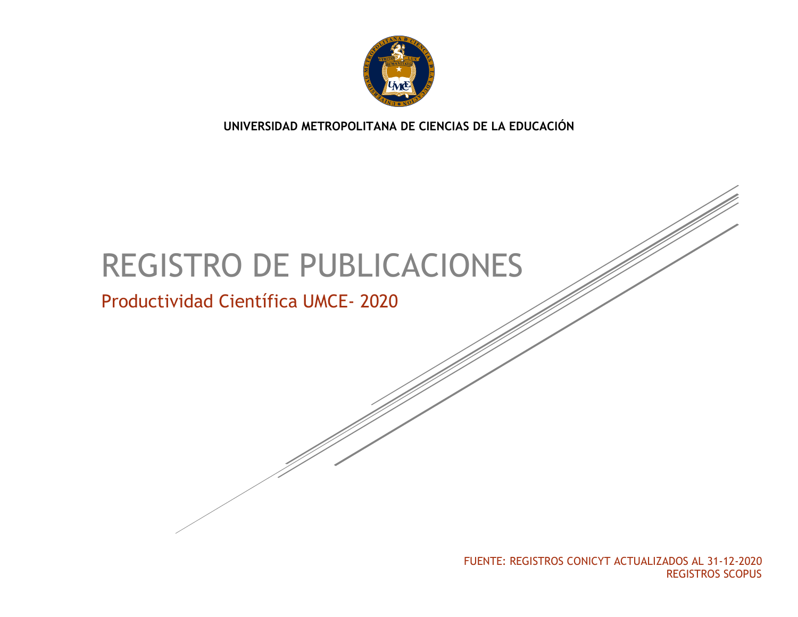

**UNIVERSIDAD METROPOLITANA DE CIENCIAS DE LA EDUCACIÓN**

# REGISTRO DE PUBLICACIONES

# Productividad Científica UMCE- 2020

FUENTE: REGISTROS CONICYT ACTUALIZADOS AL 31-12-2020 REGISTROS SCOPUS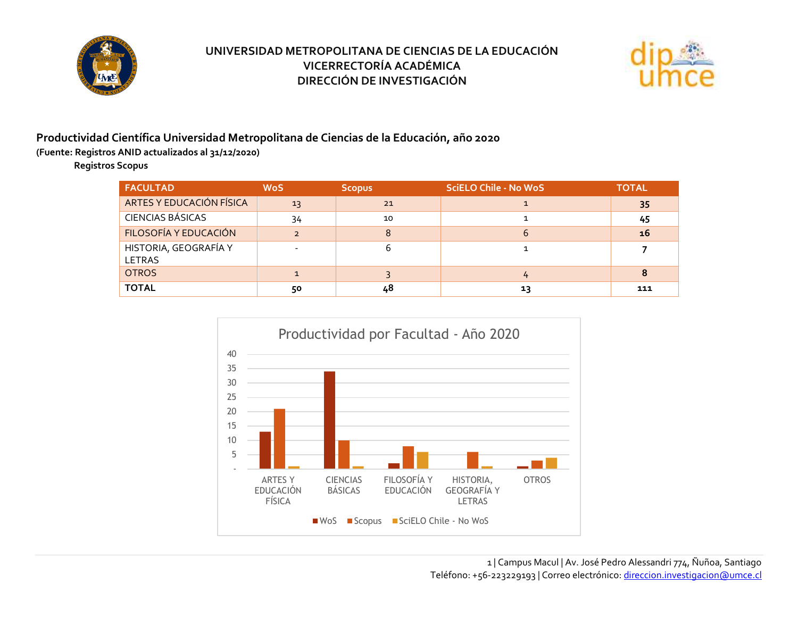



#### **Productividad Científica Universidad Metropolitana de Ciencias de la Educación, año 2020**

**(Fuente: Registros ANID actualizados al 31/12/2020)**

**Registros Scopus**

| <b>FACULTAD</b>                        | <b>WoS</b> | <b>Scopus</b> | <b>SciELO Chile - No WoS</b> | <b>TOTAL</b> |
|----------------------------------------|------------|---------------|------------------------------|--------------|
| ARTES Y EDUCACIÓN FÍSICA               | 13         | 21            |                              | 35           |
| <b>CIENCIAS BÁSICAS</b>                | 34         | 10            |                              | 45           |
| FILOSOFÍA Y EDUCACIÓN                  |            | 8             | ь                            | 16           |
| HISTORIA, GEOGRAFÍA Y<br><b>LETRAS</b> |            |               |                              |              |
| <b>OTROS</b>                           |            |               |                              | 8            |
| <b>TOTAL</b>                           | 50         | 48            | 13                           | 111          |

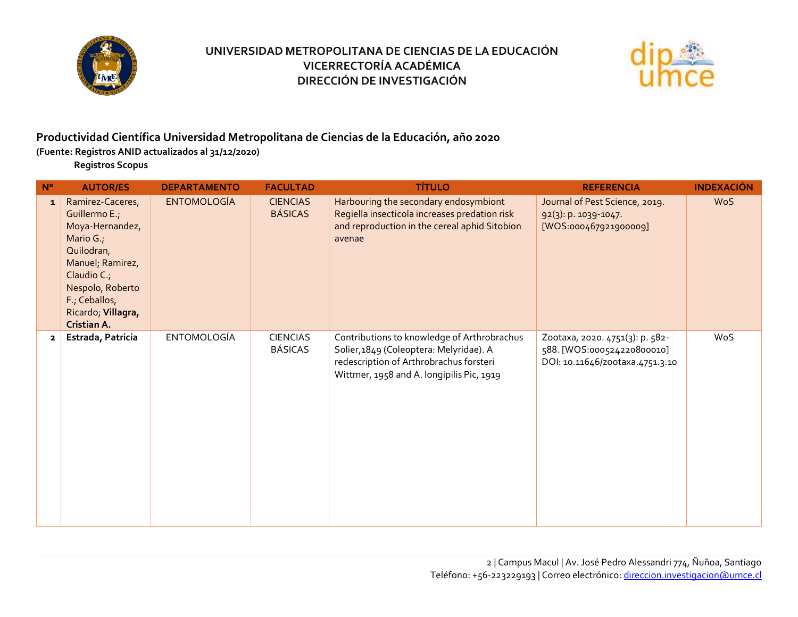



#### **Productividad Científica Universidad Metropolitana de Ciencias de la Educación, año 2020**

**(Fuente: Registros ANID actualizados al 31/12/2020)**

**Registros Scopus**

| $N^{\circ}$    | <b>AUTOR/ES</b>                                                                                                                                                                              | <b>DEPARTAMENTO</b> | <b>FACULTAD</b>                   | <b>TÍTULO</b>                                                                                                                                                                  | <b>REFERENCIA</b>                                                                                | <b>INDEXACIÓN</b> |
|----------------|----------------------------------------------------------------------------------------------------------------------------------------------------------------------------------------------|---------------------|-----------------------------------|--------------------------------------------------------------------------------------------------------------------------------------------------------------------------------|--------------------------------------------------------------------------------------------------|-------------------|
| $\mathbf{1}$   | Ramirez-Caceres,<br>Guillermo E.;<br>Moya-Hernandez,<br>Mario G.,<br>Quilodran,<br>Manuel; Ramirez,<br>Claudio C.;<br>Nespolo, Roberto<br>F.; Ceballos,<br>Ricardo; Villagra,<br>Cristian A. | <b>ENTOMOLOGÍA</b>  | <b>CIENCIAS</b><br><b>BÁSICAS</b> | Harbouring the secondary endosymbiont<br>Regiella insecticola increases predation risk<br>and reproduction in the cereal aphid Sitobion<br>avenae                              | Journal of Pest Science, 2019.<br>92(3): p. 1039-1047.<br>[WOS:000467921900009]                  | <b>WoS</b>        |
| $\overline{2}$ | Estrada, Patricia                                                                                                                                                                            | <b>ENTOMOLOGÍA</b>  | <b>CIENCIAS</b><br><b>BÁSICAS</b> | Contributions to knowledge of Arthrobrachus<br>Solier, 1849 (Coleoptera: Melyridae). A<br>redescription of Arthrobrachus forsteri<br>Wittmer, 1958 and A. longipilis Pic, 1919 | Zootaxa, 2020. 4751(3): p. 582-<br>588. [WOS:000524220800010]<br>DOI: 10.11646/zootaxa.4751.3.10 | WoS               |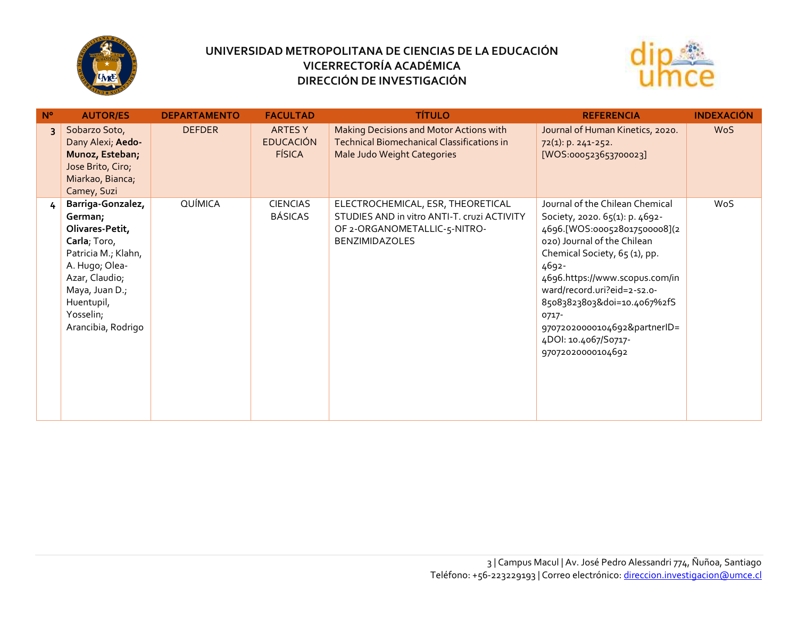



| $N^{\circ}$ | <b>AUTOR/ES</b>                                                                                                                                                                               | <b>DEPARTAMENTO</b> | <b>FACULTAD</b>                                     | <b>TÍTULO</b>                                                                                                                             | <b>REFERENCIA</b>                                                                                                                                                                                                                                                                                                                                                | <b>INDEXACIÓN</b> |
|-------------|-----------------------------------------------------------------------------------------------------------------------------------------------------------------------------------------------|---------------------|-----------------------------------------------------|-------------------------------------------------------------------------------------------------------------------------------------------|------------------------------------------------------------------------------------------------------------------------------------------------------------------------------------------------------------------------------------------------------------------------------------------------------------------------------------------------------------------|-------------------|
|             | Sobarzo Soto,<br>Dany Alexi; Aedo-<br>Munoz, Esteban;<br>Jose Brito, Ciro;<br>Miarkao, Bianca;<br>Camey, Suzi                                                                                 | <b>DEFDER</b>       | <b>ARTES Y</b><br><b>EDUCACIÓN</b><br><b>FÍSICA</b> | Making Decisions and Motor Actions with<br><b>Technical Biomechanical Classifications in</b><br>Male Judo Weight Categories               | Journal of Human Kinetics, 2020.<br>72(1): p. 241-252.<br>[WOS:000523653700023]                                                                                                                                                                                                                                                                                  | <b>WoS</b>        |
| 4           | Barriga-Gonzalez,<br>German;<br>Olivares-Petit,<br>Carla; Toro,<br>Patricia M.; Klahn,<br>A. Hugo; Olea-<br>Azar, Claudio;<br>Maya, Juan D.;<br>Huentupil,<br>Yosselin;<br>Arancibia, Rodrigo | QUÍMICA             | <b>CIENCIAS</b><br><b>BÁSICAS</b>                   | ELECTROCHEMICAL, ESR, THEORETICAL<br>STUDIES AND in vitro ANTI-T. cruzi ACTIVITY<br>OF 2-ORGANOMETALLIC-5-NITRO-<br><b>BENZIMIDAZOLES</b> | Journal of the Chilean Chemical<br>Society, 2020. 65(1): p. 4692-<br>4696.[WOS:000528017500008](2<br>020) Journal of the Chilean<br>Chemical Society, 65 (1), pp.<br>4692-<br>4696.https://www.scopus.com/in<br>ward/record.uri?eid=2-s2.o-<br>85083823803&doi=10.4067%2fS<br>0717-<br>97072020000104692&partnerID=<br>4DOI: 10.4067/S0717-<br>97072020000104692 | WoS               |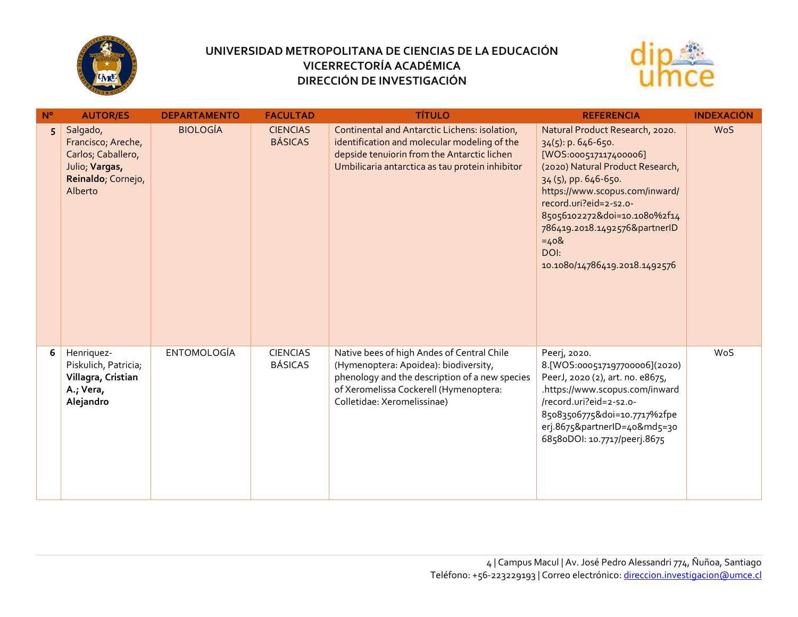



| $N^{\circ}$ | <b>AUTOR/ES</b>                                                                                         | <b>DEPARTAMENTO</b> | <b>FACULTAD</b>                   | <b>TÍTULO</b>                                                                                                                                                                                                  | <b>REFERENCIA</b>                                                                                                                                                                                                                                                                                                             | <b>INDEXACIÓN</b> |
|-------------|---------------------------------------------------------------------------------------------------------|---------------------|-----------------------------------|----------------------------------------------------------------------------------------------------------------------------------------------------------------------------------------------------------------|-------------------------------------------------------------------------------------------------------------------------------------------------------------------------------------------------------------------------------------------------------------------------------------------------------------------------------|-------------------|
| 5           | Salgado,<br>Francisco; Areche,<br>Carlos; Caballero,<br>Julio; Vargas,<br>Reinaldo; Cornejo,<br>Alberto | <b>BIOLOGÍA</b>     | <b>CIENCIAS</b><br><b>BÁSICAS</b> | Continental and Antarctic Lichens: isolation,<br>identification and molecular modeling of the<br>depside tenuiorin from the Antarctic lichen<br>Umbilicaria antarctica as tau protein inhibitor                | Natural Product Research, 2020.<br>$34(5)$ : p. 646-650.<br>[WOS:000517117400006]<br>(2020) Natural Product Research,<br>34 (5), pp. 646-650.<br>https://www.scopus.com/inward/<br>record.uri?eid=2-s2.o-<br>85056102272&doi=10.1080%2f14<br>786419.2018.1492576&partnerID<br>$=408$<br>DOI:<br>10.1080/14786419.2018.1492576 | <b>WoS</b>        |
| 6           | Henriquez-<br>Piskulich, Patricia;<br>Villagra, Cristian<br>A.; Vera,<br>Alejandro                      | <b>ENTOMOLOGÍA</b>  | <b>CIENCIAS</b><br><b>BÁSICAS</b> | Native bees of high Andes of Central Chile<br>(Hymenoptera: Apoidea): biodiversity,<br>phenology and the description of a new species<br>of Xeromelissa Cockerell (Hymenoptera:<br>Colletidae: Xeromelissinae) | Peerj, 2020.<br>8.[WOS:000517197700006](2020)<br>PeerJ, 2020 (2), art. no. e8675,<br>.https://www.scopus.com/inward<br>/record.uri?eid=2-s2.o-<br>85083506775&doi=10.7717%2fpe<br>erj.8675&partnerID=40&md5=30<br>6858oDOI: 10.7717/peerj.8675                                                                                | WoS               |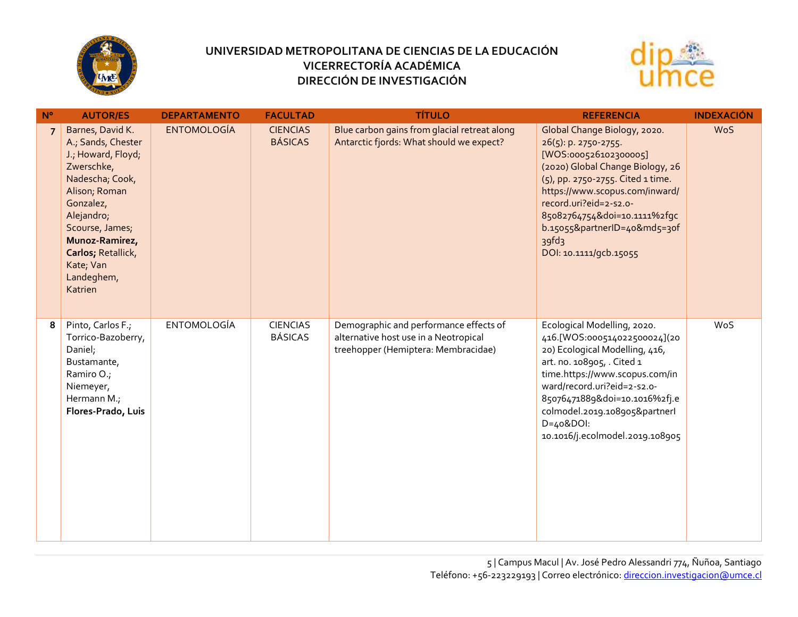



| $N^{\circ}$    | <b>AUTOR/ES</b>                                                                                                                                                                                                                            | <b>DEPARTAMENTO</b> | <b>FACULTAD</b>                   | <b>TÍTULO</b>                                                                                                          | <b>REFERENCIA</b>                                                                                                                                                                                                                                                                                                                     | <b>INDEXACIÓN</b> |
|----------------|--------------------------------------------------------------------------------------------------------------------------------------------------------------------------------------------------------------------------------------------|---------------------|-----------------------------------|------------------------------------------------------------------------------------------------------------------------|---------------------------------------------------------------------------------------------------------------------------------------------------------------------------------------------------------------------------------------------------------------------------------------------------------------------------------------|-------------------|
| $\overline{7}$ | Barnes, David K.<br>A.; Sands, Chester<br>J.; Howard, Floyd;<br>Zwerschke,<br>Nadescha; Cook,<br>Alison; Roman<br>Gonzalez,<br>Alejandro;<br>Scourse, James;<br>Munoz-Ramirez,<br>Carlos; Retallick,<br>Kate; Van<br>Landeghem,<br>Katrien | <b>ENTOMOLOGÍA</b>  | <b>CIENCIAS</b><br><b>BÁSICAS</b> | Blue carbon gains from glacial retreat along<br>Antarctic fjords: What should we expect?                               | Global Change Biology, 2020.<br>$26(5)$ : p. 2750-2755.<br>[WOS:000526102300005]<br>(2020) Global Change Biology, 26<br>(5), pp. 2750-2755. Cited 1 time.<br>https://www.scopus.com/inward/<br>record.uri?eid=2-s2.o-<br>85082764754&doi=10.1111%2fgc<br>b.15055&partnerID=40&md5=30f<br>39 <sup>fd</sup> 3<br>DOI: 10.1111/gcb.15055 | <b>WoS</b>        |
| 8              | Pinto, Carlos F.;<br>Torrico-Bazoberry,<br>Daniel;<br>Bustamante,<br>Ramiro O.;<br>Niemeyer,<br>Hermann M.;<br>Flores-Prado, Luis                                                                                                          | <b>ENTOMOLOGÍA</b>  | <b>CIENCIAS</b><br><b>BÁSICAS</b> | Demographic and performance effects of<br>alternative host use in a Neotropical<br>treehopper (Hemiptera: Membracidae) | Ecological Modelling, 2020.<br>416.[WOS:000514022500024](20<br>20) Ecological Modelling, 416,<br>art. no. 108905, . Cited 1<br>time.https://www.scopus.com/in<br>ward/record.uri?eid=2-s2.o-<br>85076471889&doi=10.1016%2fj.e<br>colmodel.2019.108905&partnerl<br>$D=408$ DOI:<br>10.1016/j.ecolmodel.2019.108905                     | WoS               |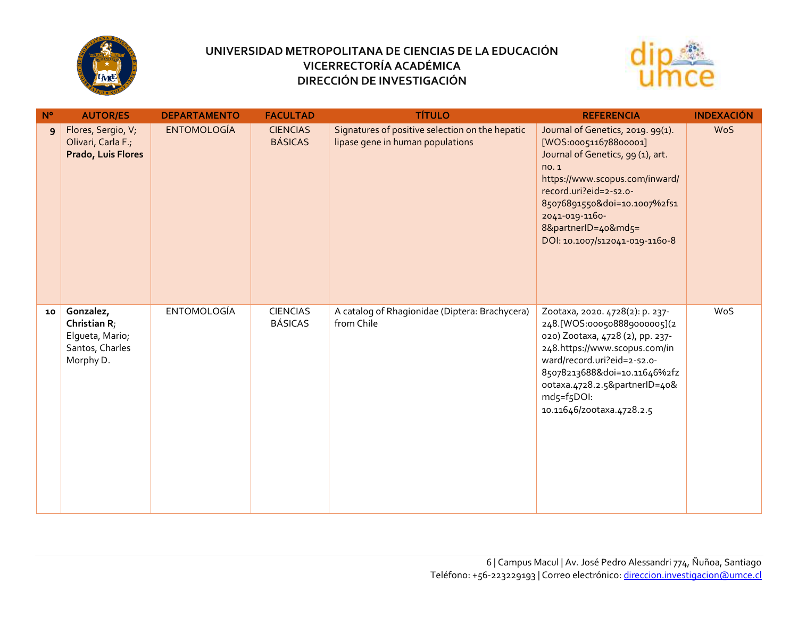



| $N^{\circ}$ | <b>AUTOR/ES</b>                                                              | <b>DEPARTAMENTO</b> | <b>FACULTAD</b>                   | <b>TÍTULO</b>                                                                       | <b>REFERENCIA</b>                                                                                                                                                                                                                                                              | <b>INDEXACIÓN</b> |
|-------------|------------------------------------------------------------------------------|---------------------|-----------------------------------|-------------------------------------------------------------------------------------|--------------------------------------------------------------------------------------------------------------------------------------------------------------------------------------------------------------------------------------------------------------------------------|-------------------|
| 9           | Flores, Sergio, V;<br>Olivari, Carla F.;<br>Prado, Luis Flores               | <b>ENTOMOLOGÍA</b>  | <b>CIENCIAS</b><br><b>BÁSICAS</b> | Signatures of positive selection on the hepatic<br>lipase gene in human populations | Journal of Genetics, 2019. 99(1).<br>[WOS:000511678800001]<br>Journal of Genetics, 99 (1), art.<br>no.1<br>https://www.scopus.com/inward/<br>record.uri?eid=2-s2.o-<br>85076891550&doi=10.1007%2fs1<br>2041-019-1160-<br>8&partnerID=40&md5=<br>DOI: 10.1007/S12041-019-1160-8 | <b>WoS</b>        |
| 10          | Gonzalez,<br>Christian R;<br>Elqueta, Mario;<br>Santos, Charles<br>Morphy D. | <b>ENTOMOLOGÍA</b>  | <b>CIENCIAS</b><br><b>BÁSICAS</b> | A catalog of Rhagionidae (Diptera: Brachycera)<br>from Chile                        | Zootaxa, 2020. 4728(2): p. 237-<br>248.[WOS:000508889000005](2<br>020) Zootaxa, 4728 (2), pp. 237-<br>248.https://www.scopus.com/in<br>ward/record.uri?eid=2-s2.o-<br>85078213688&doi=10.11646%2fz<br>ootaxa.4728.2.5&partnerID=40&<br>md5=f5DOI:<br>10.11646/zootaxa.4728.2.5 | WoS               |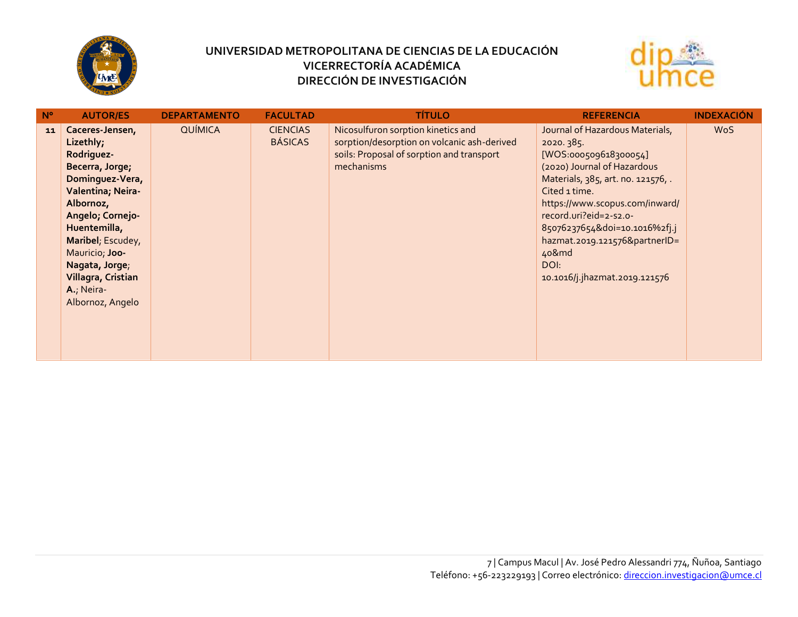



| $N^{\circ}$ | <b>AUTOR/ES</b>                                                                                                                                                                                                                                                         | <b>DEPARTAMENTO</b> | <b>FACULTAD</b>                   | <b>TÍTULO</b>                                                                                                                                | <b>REFERENCIA</b>                                                                                                                                                                                                                                                                                                                           | <b>INDEXACIÓN</b> |
|-------------|-------------------------------------------------------------------------------------------------------------------------------------------------------------------------------------------------------------------------------------------------------------------------|---------------------|-----------------------------------|----------------------------------------------------------------------------------------------------------------------------------------------|---------------------------------------------------------------------------------------------------------------------------------------------------------------------------------------------------------------------------------------------------------------------------------------------------------------------------------------------|-------------------|
| 11          | Caceres-Jensen,<br>Lizethly;<br>Rodriguez-<br>Becerra, Jorge;<br>Dominguez-Vera,<br>Valentina; Neira-<br>Albornoz,<br>Angelo; Cornejo-<br>Huentemilla,<br>Maribel; Escudey,<br>Mauricio; Joo-<br>Nagata, Jorge;<br>Villagra, Cristian<br>A.; Neira-<br>Albornoz, Angelo | <b>QUÍMICA</b>      | <b>CIENCIAS</b><br><b>BÁSICAS</b> | Nicosulfuron sorption kinetics and<br>sorption/desorption on volcanic ash-derived<br>soils: Proposal of sorption and transport<br>mechanisms | Journal of Hazardous Materials,<br>2020.385.<br>[WOS:000509618300054]<br>(2020) Journal of Hazardous<br>Materials, 385, art. no. 121576, .<br>Cited 1 time.<br>https://www.scopus.com/inward/<br>record.uri?eid=2-s2.o-<br>85076237654&doi=10.1016%2fj.j<br>hazmat.2019.121576&partnerID=<br>40&md<br>DOI:<br>10.1016/j.jhazmat.2019.121576 | <b>WoS</b>        |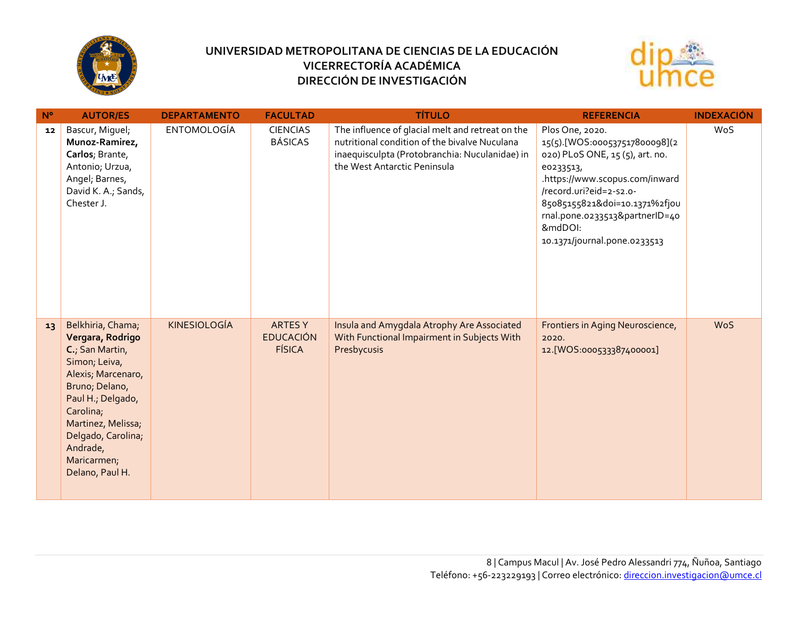



| $N^{\circ}$ | <b>AUTOR/ES</b>                                                                                                                                                                                                                               | <b>DEPARTAMENTO</b> | <b>FACULTAD</b>                                    | <b>TÍTULO</b>                                                                                                                                                                       | <b>REFERENCIA</b>                                                                                                                                                                                                                                                           | <b>INDEXACIÓN</b> |
|-------------|-----------------------------------------------------------------------------------------------------------------------------------------------------------------------------------------------------------------------------------------------|---------------------|----------------------------------------------------|-------------------------------------------------------------------------------------------------------------------------------------------------------------------------------------|-----------------------------------------------------------------------------------------------------------------------------------------------------------------------------------------------------------------------------------------------------------------------------|-------------------|
| 12          | Bascur, Miguel;<br>Munoz-Ramirez,<br>Carlos; Brante,<br>Antonio; Urzua,<br>Angel; Barnes,<br>David K. A.; Sands,<br>Chester J.                                                                                                                | <b>ENTOMOLOGÍA</b>  | <b>CIENCIAS</b><br><b>BÁSICAS</b>                  | The influence of glacial melt and retreat on the<br>nutritional condition of the bivalve Nuculana<br>inaequisculpta (Protobranchia: Nuculanidae) in<br>the West Antarctic Peninsula | Plos One, 2020.<br>15(5).[WOS:000537517800098](2<br>020) PLoS ONE, 15 (5), art. no.<br>eo233513,<br>.https://www.scopus.com/inward<br>/record.uri?eid=2-s2.o-<br>85085155821&doi=10.1371%2fjou<br>rnal.pone.o233513&partnerID=40<br>&mdDOI:<br>10.1371/journal.pone.0233513 | WoS               |
| 13          | Belkhiria, Chama;<br>Vergara, Rodrigo<br>C., San Martin,<br>Simon; Leiva,<br>Alexis; Marcenaro,<br>Bruno; Delano,<br>Paul H.; Delgado,<br>Carolina;<br>Martinez, Melissa;<br>Delgado, Carolina;<br>Andrade,<br>Maricarmen;<br>Delano, Paul H. | <b>KINESIOLOGÍA</b> | <b>ARTESY</b><br><b>EDUCACIÓN</b><br><b>FÍSICA</b> | Insula and Amygdala Atrophy Are Associated<br>With Functional Impairment in Subjects With<br>Presbycusis                                                                            | Frontiers in Aging Neuroscience,<br>2020.<br>12.[WOS:000533387400001]                                                                                                                                                                                                       | <b>WoS</b>        |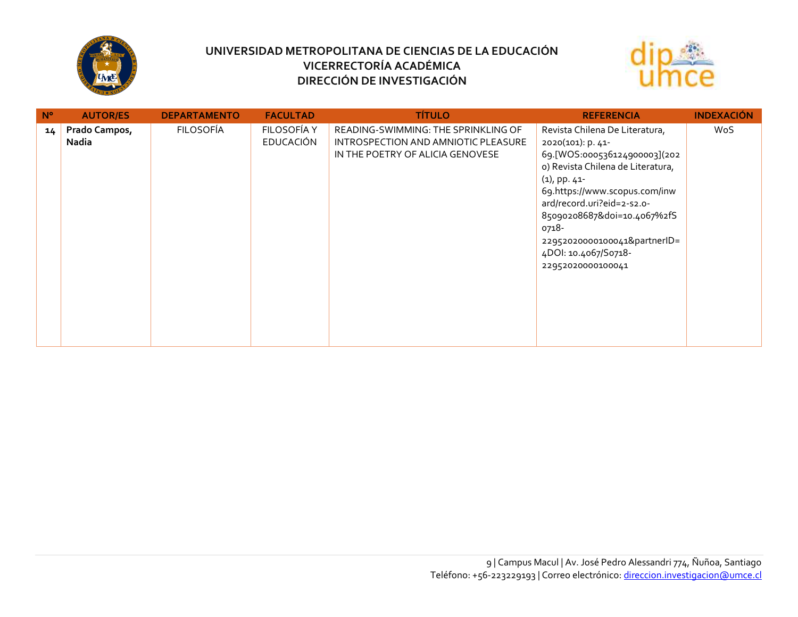



| $N^{\circ}$ | <b>AUTOR/ES</b>        | <b>DEPARTAMENTO</b> | <b>FACULTAD</b>                 | <b>TÍTULO</b>                                                                                                  | <b>REFERENCIA</b>                                                                                                                                                                                                                                                                                                               | <b>INDEXACIÓN</b> |
|-------------|------------------------|---------------------|---------------------------------|----------------------------------------------------------------------------------------------------------------|---------------------------------------------------------------------------------------------------------------------------------------------------------------------------------------------------------------------------------------------------------------------------------------------------------------------------------|-------------------|
| 14          | Prado Campos,<br>Nadia | <b>FILOSOFÍA</b>    | FILOSOFÍA Y<br><b>EDUCACIÓN</b> | READING-SWIMMING: THE SPRINKLING OF<br>INTROSPECTION AND AMNIOTIC PLEASURE<br>IN THE POETRY OF ALICIA GENOVESE | Revista Chilena De Literatura,<br>2020(101): p. 41-<br>69.[WOS:000536124900003](202<br>o) Revista Chilena de Literatura,<br>$(1)$ , pp. 41-<br>69.https://www.scopus.com/inw<br>ard/record.uri?eid=2-s2.o-<br>85090208687&doi=10.4067%2fS<br>0718-<br>22952020000100041&partnerID=<br>4DOI: 10.4067/S0718-<br>22952020000100041 | WoS               |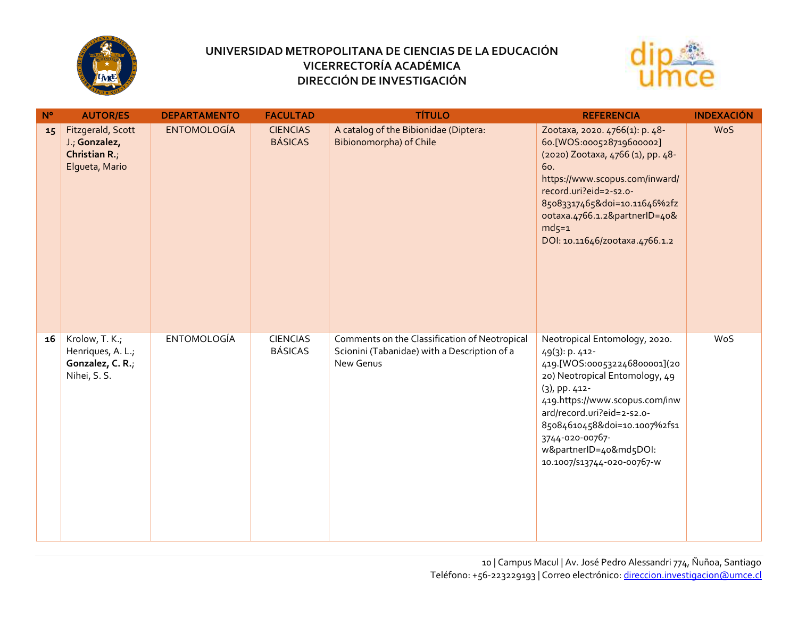



| $N^{\circ}$ | <b>AUTOR/ES</b>                                                         | <b>DEPARTAMENTO</b> | <b>FACULTAD</b>                   | <b>TÍTULO</b>                                                                                              | <b>REFERENCIA</b>                                                                                                                                                                                                                                                                                             | <b>INDEXACIÓN</b> |
|-------------|-------------------------------------------------------------------------|---------------------|-----------------------------------|------------------------------------------------------------------------------------------------------------|---------------------------------------------------------------------------------------------------------------------------------------------------------------------------------------------------------------------------------------------------------------------------------------------------------------|-------------------|
| 15          | Fitzgerald, Scott<br>J.; Gonzalez,<br>Christian R.;<br>Elgueta, Mario   | <b>ENTOMOLOGÍA</b>  | <b>CIENCIAS</b><br><b>BÁSICAS</b> | A catalog of the Bibionidae (Diptera:<br><b>Bibionomorpha) of Chile</b>                                    | Zootaxa, 2020. 4766(1): p. 48-<br>60.[WOS:000528719600002]<br>(2020) Zootaxa, 4766 (1), pp. 48-<br>60.<br>https://www.scopus.com/inward/<br>record.uri?eid=2-s2.o-<br>85083317465&doi=10.11646%2fz<br>ootaxa.4766.1.2&partnerID=40&<br>$md5=1$<br>DOI: 10.11646/zootaxa.4766.1.2                              | <b>WoS</b>        |
| 16          | Krolow, T. K.;<br>Henriques, A. L.;<br>Gonzalez, C. R.;<br>Nihei, S. S. | <b>ENTOMOLOGÍA</b>  | <b>CIENCIAS</b><br><b>BÁSICAS</b> | Comments on the Classification of Neotropical<br>Scionini (Tabanidae) with a Description of a<br>New Genus | Neotropical Entomology, 2020.<br>49(3): p. 412-<br>419.[WOS:000532246800001](20<br>20) Neotropical Entomology, 49<br>(3), pp. 412-<br>419.https://www.scopus.com/inw<br>ard/record.uri?eid=2-s2.o-<br>85084610458&doi=10.1007%2fs1<br>3744-020-00767-<br>w&partnerID=40&md5DOI:<br>10.1007/S13744-020-00767-W | WoS               |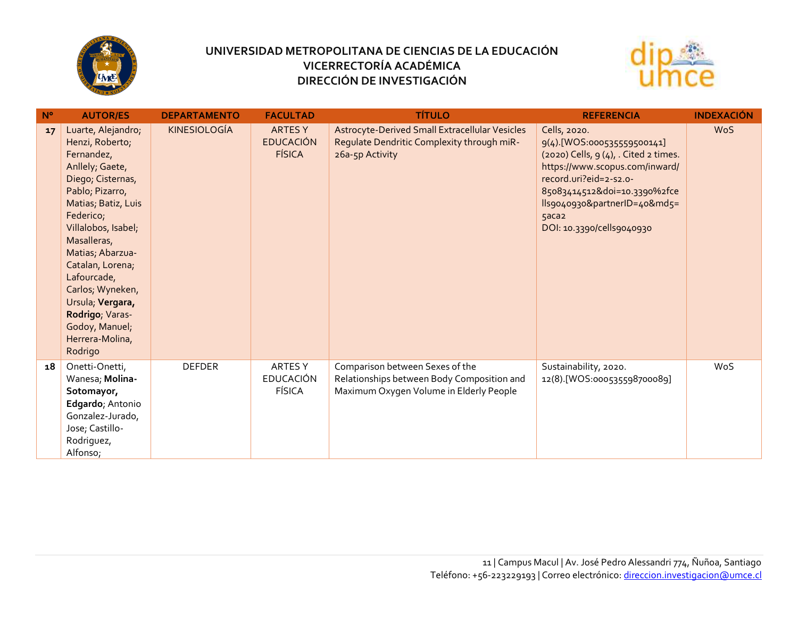



| $N^{\circ}$ | <b>AUTOR/ES</b>                                                                                                                                                                                                                                                                                                                                            | <b>DEPARTAMENTO</b> | <b>FACULTAD</b>                                    | <b>TÍTULO</b>                                                                                                            | <b>REFERENCIA</b>                                                                                                                                                                                                                                       | <b>INDEXACIÓN</b> |
|-------------|------------------------------------------------------------------------------------------------------------------------------------------------------------------------------------------------------------------------------------------------------------------------------------------------------------------------------------------------------------|---------------------|----------------------------------------------------|--------------------------------------------------------------------------------------------------------------------------|---------------------------------------------------------------------------------------------------------------------------------------------------------------------------------------------------------------------------------------------------------|-------------------|
| 17          | Luarte, Alejandro;<br>Henzi, Roberto;<br>Fernandez,<br>Anllely, Gaete,<br>Diego; Cisternas,<br>Pablo; Pizarro,<br>Matias; Batiz, Luis<br>Federico;<br>Villalobos, Isabel;<br>Masalleras,<br>Matias; Abarzua-<br>Catalan, Lorena;<br>Lafourcade,<br>Carlos; Wyneken,<br>Ursula; Vergara,<br>Rodrigo; Varas-<br>Godoy, Manuel;<br>Herrera-Molina,<br>Rodrigo | <b>KINESIOLOGÍA</b> | <b>ARTESY</b><br><b>EDUCACIÓN</b><br><b>FÍSICA</b> | Astrocyte-Derived Small Extracellular Vesicles<br>Regulate Dendritic Complexity through miR-<br>26a-5p Activity          | Cells, 2020.<br>9(4).[WOS:000535559500141]<br>$(2020)$ Cells, $9(4)$ , Cited 2 times.<br>https://www.scopus.com/inward/<br>record.uri?eid=2-s2.o-<br>85083414512&doi=10.3390%2fce<br>lls9040930&partnerID=40&md5=<br>5aca2<br>DOI: 10.3390/cells9040930 | <b>WoS</b>        |
| 18          | Onetti-Onetti,<br>Wanesa; Molina-<br>Sotomayor,<br>Edgardo; Antonio<br>Gonzalez-Jurado,<br>Jose; Castillo-<br>Rodriguez,<br>Alfonso;                                                                                                                                                                                                                       | <b>DEFDER</b>       | <b>ARTESY</b><br><b>EDUCACIÓN</b><br><b>FÍSICA</b> | Comparison between Sexes of the<br>Relationships between Body Composition and<br>Maximum Oxygen Volume in Elderly People | Sustainability, 2020.<br>12(8).[WOS:000535598700089]                                                                                                                                                                                                    | WoS               |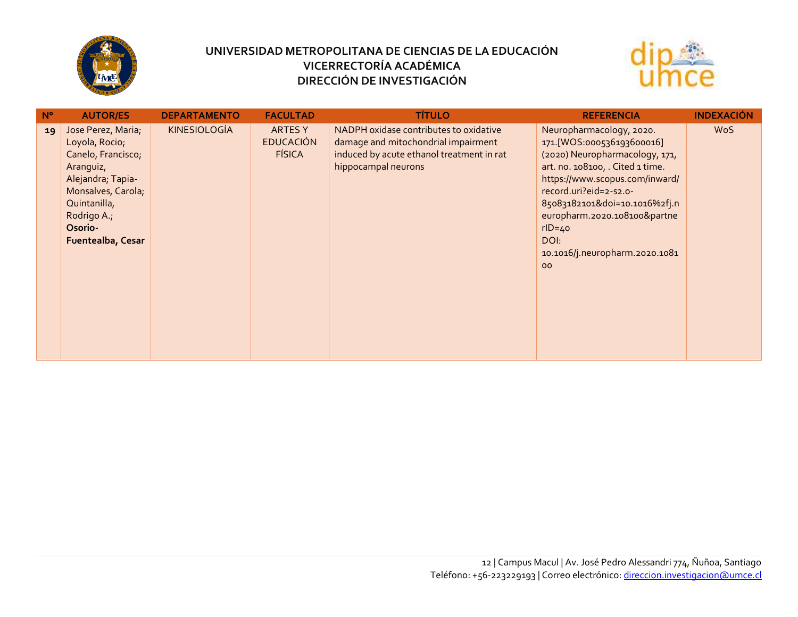



| $N^{\circ}$ | <b>AUTOR/ES</b>                                                                                                                                                                   | <b>DEPARTAMENTO</b> | <b>FACULTAD</b>                                    | <b>TÍTULO</b>                                                                                                                                     | <b>REFERENCIA</b>                                                                                                                                                                                                                                                                                                      | <b>INDEXACIÓN</b> |
|-------------|-----------------------------------------------------------------------------------------------------------------------------------------------------------------------------------|---------------------|----------------------------------------------------|---------------------------------------------------------------------------------------------------------------------------------------------------|------------------------------------------------------------------------------------------------------------------------------------------------------------------------------------------------------------------------------------------------------------------------------------------------------------------------|-------------------|
| 19          | Jose Perez, Maria;<br>Loyola, Rocio;<br>Canelo, Francisco;<br>Aranguiz,<br>Alejandra; Tapia-<br>Monsalves, Carola;<br>Quintanilla,<br>Rodrigo A.;<br>Osorio-<br>Fuentealba, Cesar | <b>KINESIOLOGÍA</b> | <b>ARTESY</b><br><b>EDUCACIÓN</b><br><b>FÍSICA</b> | NADPH oxidase contributes to oxidative<br>damage and mitochondrial impairment<br>induced by acute ethanol treatment in rat<br>hippocampal neurons | Neuropharmacology, 2020.<br>171.[WOS:000536193600016]<br>(2020) Neuropharmacology, 171,<br>art. no. 108100, . Cited 1 time.<br>https://www.scopus.com/inward/<br>record.uri?eid=2-s2.o-<br>85083182101&doi=10.1016%2fj.n<br>europharm.2020.108100&partne<br>$rID = 40$<br>DOI:<br>10.1016/j.neuropharm.2020.1081<br>00 | <b>WoS</b>        |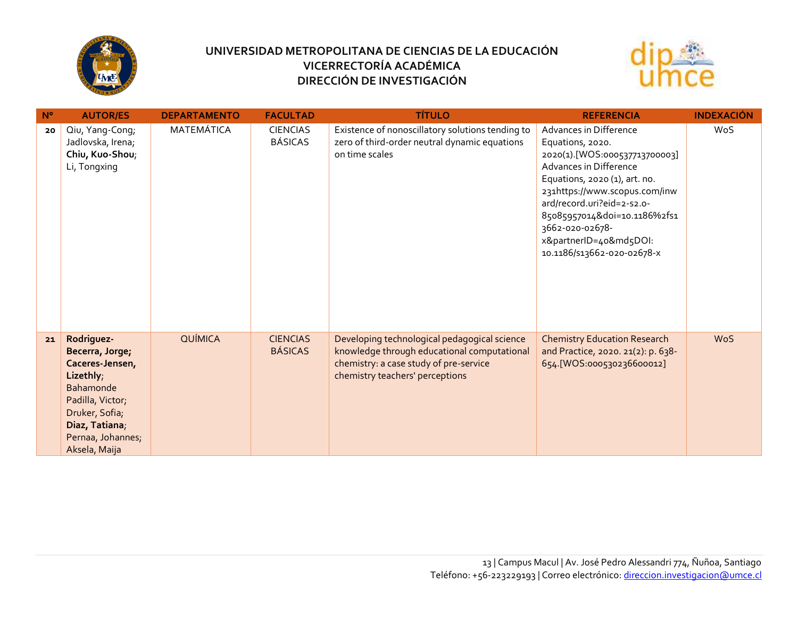



| $N^{\circ}$ | <b>AUTOR/ES</b>                                                                                                                                                                 | <b>DEPARTAMENTO</b> | <b>FACULTAD</b>                   | <b>TÍTULO</b>                                                                                                                                                            | <b>REFERENCIA</b>                                                                                                                                                                                                                                                                                                | <b>INDEXACIÓN</b> |
|-------------|---------------------------------------------------------------------------------------------------------------------------------------------------------------------------------|---------------------|-----------------------------------|--------------------------------------------------------------------------------------------------------------------------------------------------------------------------|------------------------------------------------------------------------------------------------------------------------------------------------------------------------------------------------------------------------------------------------------------------------------------------------------------------|-------------------|
| 20          | Qiu, Yang-Cong;<br>Jadlovska, Irena;<br>Chiu, Kuo-Shou;<br>Li, Tongxing                                                                                                         | MATEMÁTICA          | <b>CIENCIAS</b><br><b>BÁSICAS</b> | Existence of nonoscillatory solutions tending to<br>zero of third-order neutral dynamic equations<br>on time scales                                                      | Advances in Difference<br>Equations, 2020.<br>2020(1).[WOS:000537713700003]<br>Advances in Difference<br>Equations, 2020 (1), art. no.<br>231https://www.scopus.com/inw<br>ard/record.uri?eid=2-s2.o-<br>85085957014&doi=10.1186%2fs1<br>3662-020-02678-<br>x&partnerID=40&md5DOI:<br>10.1186/s13662-020-02678-x | WoS               |
| 21          | Rodriguez-<br>Becerra, Jorge;<br>Caceres-Jensen,<br>Lizethly;<br><b>Bahamonde</b><br>Padilla, Victor;<br>Druker, Sofia;<br>Diaz, Tatiana,<br>Pernaa, Johannes;<br>Aksela, Maija | <b>QUÍMICA</b>      | <b>CIENCIAS</b><br><b>BÁSICAS</b> | Developing technological pedagogical science<br>knowledge through educational computational<br>chemistry: a case study of pre-service<br>chemistry teachers' perceptions | <b>Chemistry Education Research</b><br>and Practice, 2020. 21(2): p. 638-<br>654.[WOS:000530236600012]                                                                                                                                                                                                           | <b>WoS</b>        |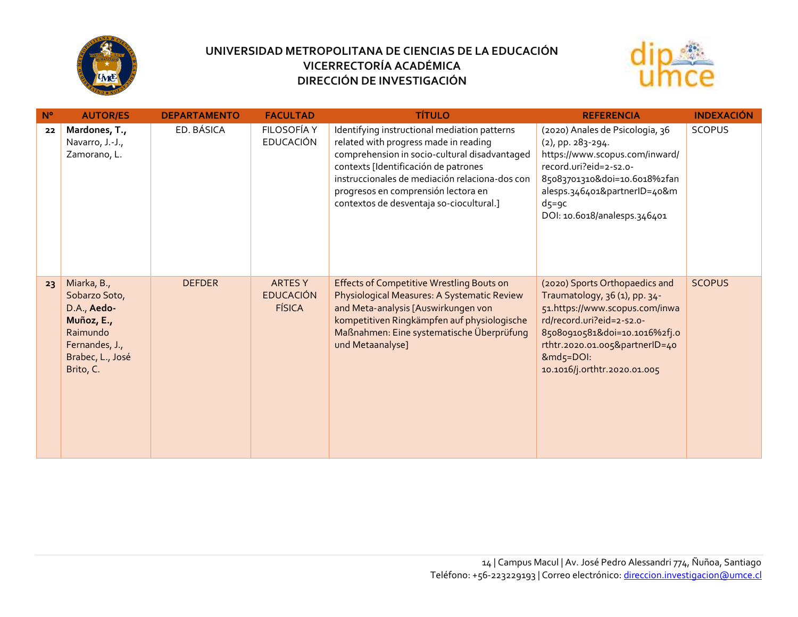



| N <sup>o</sup> | <b>AUTOR/ES</b>                                                                                                          | <b>DEPARTAMENTO</b> | <b>FACULTAD</b>                                     | <b>TÍTULO</b>                                                                                                                                                                                                                                                                                                       | <b>REFERENCIA</b>                                                                                                                                                                                                                              | <b>INDEXACIÓN</b> |
|----------------|--------------------------------------------------------------------------------------------------------------------------|---------------------|-----------------------------------------------------|---------------------------------------------------------------------------------------------------------------------------------------------------------------------------------------------------------------------------------------------------------------------------------------------------------------------|------------------------------------------------------------------------------------------------------------------------------------------------------------------------------------------------------------------------------------------------|-------------------|
| 22             | Mardones, T.,<br>Navarro, J.-J.,<br>Zamorano, L.                                                                         | ED. BÁSICA          | FILOSOFÍA Y<br><b>EDUCACIÓN</b>                     | Identifying instructional mediation patterns<br>related with progress made in reading<br>comprehension in socio-cultural disadvantaged<br>contexts [Identificación de patrones<br>instruccionales de mediación relaciona-dos con<br>progresos en comprensión lectora en<br>contextos de desventaja so-ciocultural.] | (2020) Anales de Psicologia, 36<br>$(2)$ , pp. 283-294.<br>https://www.scopus.com/inward/<br>record.uri?eid=2-s2.o-<br>85083701310&doi=10.6018%2fan<br>alesps.346401&partnerID=40&m<br>$d5 = 9c$<br>DOI: 10.6018/analesps.346401               | <b>SCOPUS</b>     |
| 23             | Miarka, B.,<br>Sobarzo Soto,<br>D.A., Aedo-<br>Muñoz, E.,<br>Raimundo<br>Fernandes, J.,<br>Brabec, L., José<br>Brito, C. | <b>DEFDER</b>       | <b>ARTES Y</b><br><b>EDUCACIÓN</b><br><b>FÍSICA</b> | <b>Effects of Competitive Wrestling Bouts on</b><br>Physiological Measures: A Systematic Review<br>and Meta-analysis [Auswirkungen von<br>kompetitiven Ringkämpfen auf physiologische<br>Maßnahmen: Eine systematische Überprüfung<br>und Metaanalyse]                                                              | (2020) Sports Orthopaedics and<br>Traumatology, 36 (1), pp. 34-<br>51.https://www.scopus.com/inwa<br>rd/record.uri?eid=2-s2.o-<br>85080910581&doi=10.1016%2fj.0<br>rthtr.2020.01.005&partnerID=40<br>&md5=DOI:<br>10.1016/j.orthtr.2020.01.005 | <b>SCOPUS</b>     |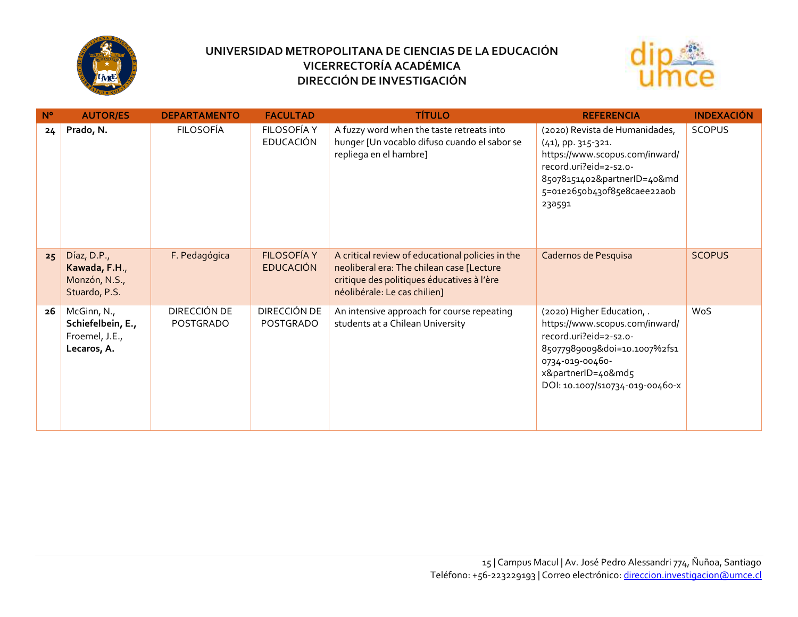



| $N^{\circ}$ | <b>AUTOR/ES</b>                                                   | <b>DEPARTAMENTO</b>       | <b>FACULTAD</b>                        | <b>TÍTULO</b>                                                                                                                                                               | <b>REFERENCIA</b>                                                                                                                                                                                  | <b>INDEXACIÓN</b> |
|-------------|-------------------------------------------------------------------|---------------------------|----------------------------------------|-----------------------------------------------------------------------------------------------------------------------------------------------------------------------------|----------------------------------------------------------------------------------------------------------------------------------------------------------------------------------------------------|-------------------|
| 24          | Prado, N.                                                         | <b>FILOSOFÍA</b>          | <b>FILOSOFÍA Y</b><br><b>EDUCACIÓN</b> | A fuzzy word when the taste retreats into<br>hunger [Un vocablo difuso cuando el sabor se<br>repliega en el hambre]                                                         | (2020) Revista de Humanidades,<br>(41), pp. 315-321.<br>https://www.scopus.com/inward/<br>record.uri?eid=2-s2.o-<br>85078151402&partnerID=40&md<br>5=01e265ob43of85e8caee22aob<br>23a591           | <b>SCOPUS</b>     |
| 25          | Díaz, D.P.,<br>Kawada, F.H.,<br>Monzón, N.S.,<br>Stuardo, P.S.    | F. Pedagógica             | <b>FILOSOFÍA Y</b><br><b>EDUCACIÓN</b> | A critical review of educational policies in the<br>neoliberal era: The chilean case [Lecture<br>critique des politiques éducatives à l'ère<br>néolibérale: Le cas chilien] | Cadernos de Pesquisa                                                                                                                                                                               | <b>SCOPUS</b>     |
| 26          | McGinn, N.,<br>Schiefelbein, E.,<br>Froemel, J.E.,<br>Lecaros, A. | DIRECCIÓN DE<br>POSTGRADO | DIRECCIÓN DE<br><b>POSTGRADO</b>       | An intensive approach for course repeating<br>students at a Chilean University                                                                                              | (2020) Higher Education, .<br>https://www.scopus.com/inward/<br>record.uri?eid=2-s2.o-<br>85077989009&doi=10.1007%2fs1<br>0734-019-00460-<br>x&partnerID=40&md5<br>DOI: 10.1007/S10734-019-00460-X | WoS               |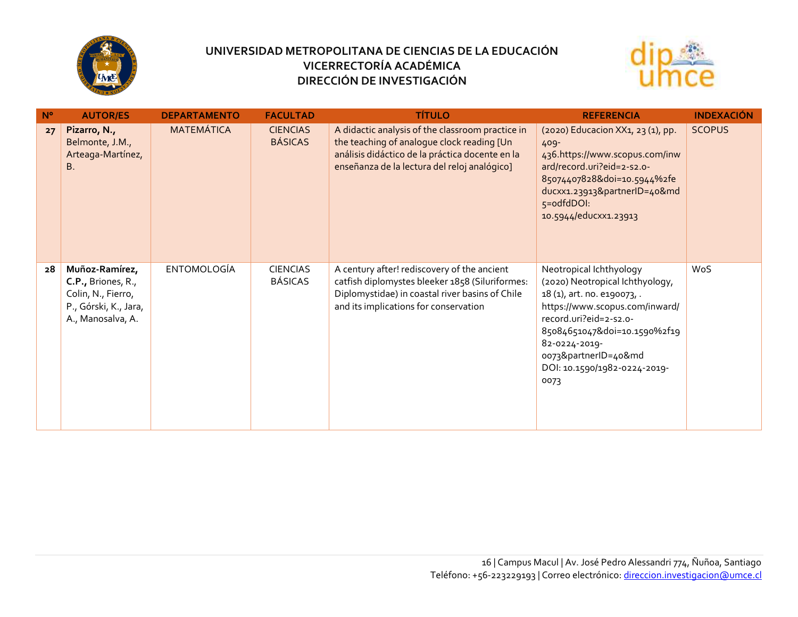



| $N^{\circ}$ | <b>AUTOR/ES</b>                                                                                          | <b>DEPARTAMENTO</b> | <b>FACULTAD</b>                   | <b>TÍTULO</b>                                                                                                                                                                                     | <b>REFERENCIA</b>                                                                                                                                                                                                                                                      | <b>INDEXACIÓN</b> |
|-------------|----------------------------------------------------------------------------------------------------------|---------------------|-----------------------------------|---------------------------------------------------------------------------------------------------------------------------------------------------------------------------------------------------|------------------------------------------------------------------------------------------------------------------------------------------------------------------------------------------------------------------------------------------------------------------------|-------------------|
| 27          | Pizarro, N.,<br>Belmonte, J.M.,<br>Arteaga-Martínez,<br><b>B.</b>                                        | <b>MATEMÁTICA</b>   | <b>CIENCIAS</b><br><b>BÁSICAS</b> | A didactic analysis of the classroom practice in<br>the teaching of analogue clock reading [Un<br>análisis didáctico de la práctica docente en la<br>enseñanza de la lectura del reloj analógico] | (2020) Educacion XX1, 23 (1), pp.<br>$409 -$<br>436.https://www.scopus.com/inw<br>ard/record.uri?eid=2-s2.o-<br>85074407828&doi=10.5944%2fe<br>ducxx1.23913&partnerID=40&md<br>5=odfdDOI:<br>10.5944/educxx1.23913                                                     | <b>SCOPUS</b>     |
| 28          | Muñoz-Ramírez,<br>C.P., Briones, R.,<br>Colin, N., Fierro,<br>P., Górski, K., Jara,<br>A., Manosalva, A. | <b>ENTOMOLOGÍA</b>  | <b>CIENCIAS</b><br>BÁSICAS        | A century after! rediscovery of the ancient<br>catfish diplomystes bleeker 1858 (Siluriformes:<br>Diplomystidae) in coastal river basins of Chile<br>and its implications for conservation        | Neotropical Ichthyology<br>(2020) Neotropical Ichthyology,<br>18 (1), art. no. e190073, .<br>https://www.scopus.com/inward/<br>record.uri?eid=2-s2.o-<br>85084651047&doi=10.1590%2f19<br>82-0224-2019-<br>0073&partnerID=40&md<br>DOI: 10.1590/1982-0224-2019-<br>0073 | WoS               |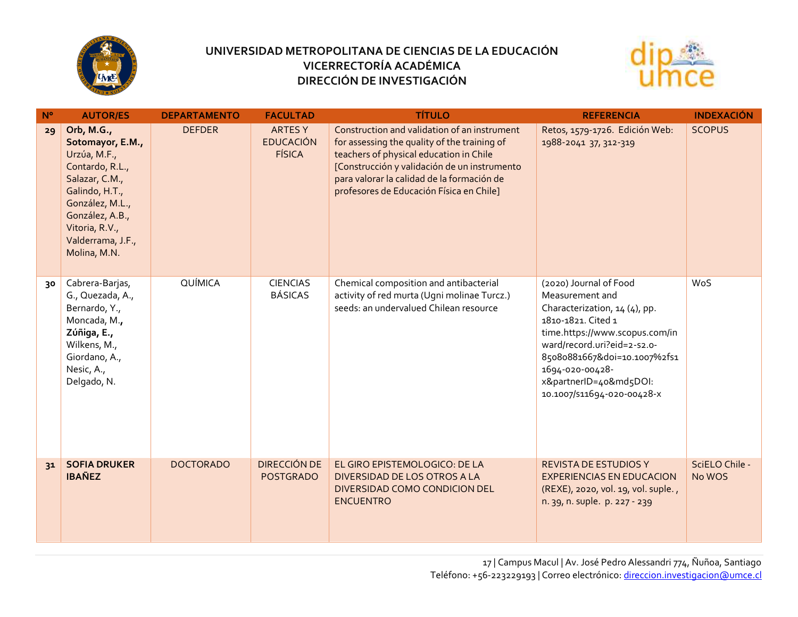



| $N^{\circ}$ | <b>AUTOR/ES</b>                                                                                                                                                                                    | <b>DEPARTAMENTO</b> | <b>FACULTAD</b>                                     | <b>TÍTULO</b>                                                                                                                                                                                                                                                                     | <b>REFERENCIA</b>                                                                                                                                                                                                                                                            | <b>INDEXACIÓN</b>        |
|-------------|----------------------------------------------------------------------------------------------------------------------------------------------------------------------------------------------------|---------------------|-----------------------------------------------------|-----------------------------------------------------------------------------------------------------------------------------------------------------------------------------------------------------------------------------------------------------------------------------------|------------------------------------------------------------------------------------------------------------------------------------------------------------------------------------------------------------------------------------------------------------------------------|--------------------------|
| 29          | Orb, M.G.,<br>Sotomayor, E.M.,<br>Urzúa, M.F.,<br>Contardo, R.L.,<br>Salazar, C.M.,<br>Galindo, H.T.,<br>González, M.L.,<br>González, A.B.,<br>Vitoria, R.V.,<br>Valderrama, J.F.,<br>Molina, M.N. | <b>DEFDER</b>       | <b>ARTES Y</b><br><b>EDUCACIÓN</b><br><b>FÍSICA</b> | Construction and validation of an instrument<br>for assessing the quality of the training of<br>teachers of physical education in Chile<br>[Construcción y validación de un instrumento<br>para valorar la calidad de la formación de<br>profesores de Educación Física en Chile] | Retos, 1579-1726. Edición Web:<br>1988-2041 37, 312-319                                                                                                                                                                                                                      | <b>SCOPUS</b>            |
| 30          | Cabrera-Barjas,<br>G., Quezada, A.,<br>Bernardo, Y.,<br>Moncada, M.,<br>Zúñiga, E.,<br>Wilkens, M.,<br>Giordano, A.,<br>Nesic, A.,<br>Delgado, N.                                                  | QUÍMICA             | <b>CIENCIAS</b><br><b>BÁSICAS</b>                   | Chemical composition and antibacterial<br>activity of red murta (Ugni molinae Turcz.)<br>seeds: an undervalued Chilean resource                                                                                                                                                   | (2020) Journal of Food<br>Measurement and<br>Characterization, 14 (4), pp.<br>1810-1821. Cited 1<br>time.https://www.scopus.com/in<br>ward/record.uri?eid=2-s2.o-<br>85080881667&doi=10.1007%2fs1<br>1694-020-00428-<br>x&partnerID=40&md5DOI:<br>10.1007/S11694-020-00428-X | WoS                      |
| 31          | <b>SOFIA DRUKER</b><br><b>IBAÑEZ</b>                                                                                                                                                               | <b>DOCTORADO</b>    | <b>DIRECCIÓN DE</b><br><b>POSTGRADO</b>             | EL GIRO EPISTEMOLOGICO: DE LA<br>DIVERSIDAD DE LOS OTROS A LA<br>DIVERSIDAD COMO CONDICION DEL<br><b>ENCUENTRO</b>                                                                                                                                                                | <b>REVISTA DE ESTUDIOS Y</b><br><b>EXPERIENCIAS EN EDUCACION</b><br>(REXE), 2020, vol. 19, vol. suple.,<br>n. 39, n. suple. p. 227 - 239                                                                                                                                     | SciELO Chile -<br>No WOS |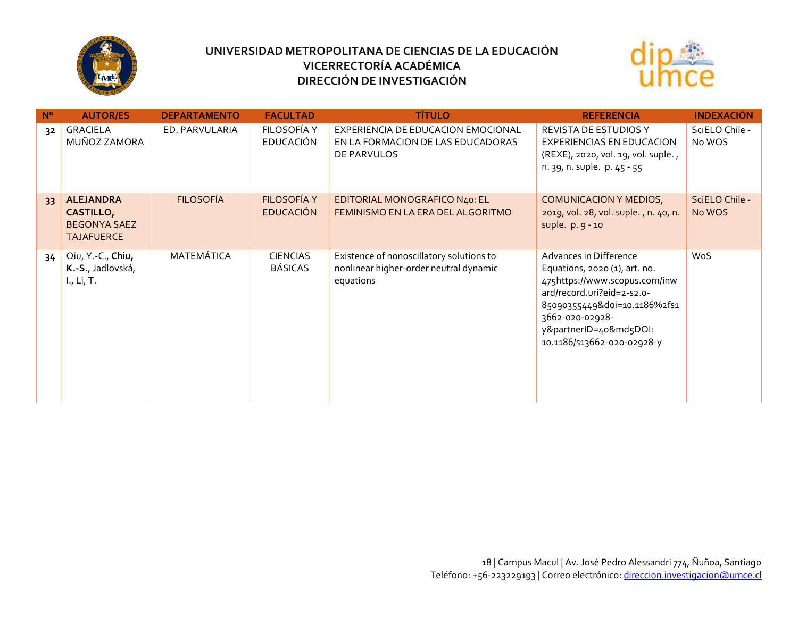



| $N^{\circ}$ | <b>AUTOR/ES</b>                                                                  | <b>DEPARTAMENTO</b> | <b>FACULTAD</b>                        | <b>TÍTULO</b>                                                                                   | <b>REFERENCIA</b>                                                                                                                                                                                                                 | <b>INDEXACIÓN</b>        |
|-------------|----------------------------------------------------------------------------------|---------------------|----------------------------------------|-------------------------------------------------------------------------------------------------|-----------------------------------------------------------------------------------------------------------------------------------------------------------------------------------------------------------------------------------|--------------------------|
| 32          | GRACIELA<br>MUÑOZ ZAMORA                                                         | ED. PARVULARIA      | FILOSOFÍA Y<br><b>EDUCACIÓN</b>        | EXPERIENCIA DE EDUCACION EMOCIONAL<br>EN LA FORMACION DE LAS EDUCADORAS<br>DE PARVULOS          | <b>REVISTA DE ESTUDIOS Y</b><br><b>EXPERIENCIAS EN EDUCACION</b><br>(REXE), 2020, vol. 19, vol. suple.,<br>n. 39, n. suple. p. 45 - 55                                                                                            | SciELO Chile -<br>No WOS |
| 33          | <b>ALEJANDRA</b><br><b>CASTILLO,</b><br><b>BEGONYA SAEZ</b><br><b>TAJAFUERCE</b> | <b>FILOSOFÍA</b>    | <b>FILOSOFÍA Y</b><br><b>EDUCACIÓN</b> | EDITORIAL MONOGRAFICO N40: EL<br>FEMINISMO EN LA ERA DEL ALGORITMO                              | COMUNICACION Y MEDIOS,<br>2019, vol. 28, vol. suple., n. 40, n.<br>suple. p. 9 - 10                                                                                                                                               | SciELO Chile -<br>No WOS |
| 34          | Qiu, Y.-C., Chiu,<br>K.-S., Jadlovská,<br>L, Li, T.                              | MATEMÁTICA          | <b>CIENCIAS</b><br><b>BÁSICAS</b>      | Existence of nonoscillatory solutions to<br>nonlinear higher-order neutral dynamic<br>equations | Advances in Difference<br>Equations, 2020 (1), art. no.<br>475https://www.scopus.com/inw<br>ard/record.uri?eid=2-s2.o-<br>85090355449&doi=10.1186%2fs1<br>3662-020-02928-<br>y&partnerID=40&md5DOI:<br>10.1186/s13662-020-02928-y | WoS                      |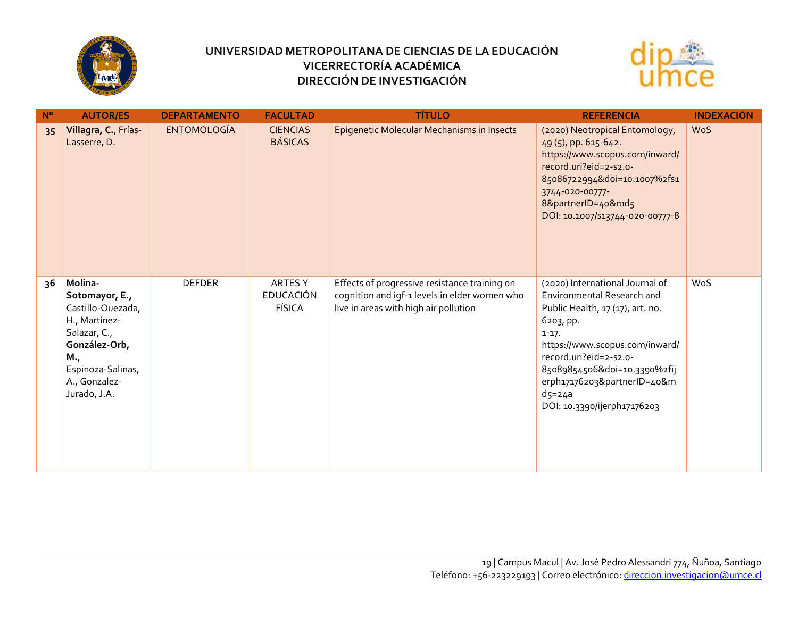



| $N^{\circ}$ | <b>AUTOR/ES</b>                                                                                                                                               | <b>DEPARTAMENTO</b> | <b>FACULTAD</b>                              | <b>TÍTULO</b>                                                                                                                           | <b>REFERENCIA</b>                                                                                                                                                                                                                                                                                 | <b>INDEXACIÓN</b> |
|-------------|---------------------------------------------------------------------------------------------------------------------------------------------------------------|---------------------|----------------------------------------------|-----------------------------------------------------------------------------------------------------------------------------------------|---------------------------------------------------------------------------------------------------------------------------------------------------------------------------------------------------------------------------------------------------------------------------------------------------|-------------------|
| 35          | Villagra, C., Frías-<br>Lasserre, D.                                                                                                                          | <b>ENTOMOLOGÍA</b>  | <b>CIENCIAS</b><br><b>BÁSICAS</b>            | Epigenetic Molecular Mechanisms in Insects                                                                                              | (2020) Neotropical Entomology,<br>49(5), pp. 615-642.<br>https://www.scopus.com/inward/<br>record.uri?eid=2-s2.o-<br>85086722994&doi=10.1007%2fs1<br>3744-020-00777-<br>8&partnerID=40&md5<br>DOI: 10.1007/S13744-020-00777-8                                                                     | <b>WoS</b>        |
| 36          | Molina-<br>Sotomayor, E.,<br>Castillo-Quezada,<br>H., Martínez-<br>Salazar, C.,<br>González-Orb,<br>M.,<br>Espinoza-Salinas,<br>A., Gonzalez-<br>Jurado, J.A. | <b>DEFDER</b>       | ARTES Y<br><b>EDUCACIÓN</b><br><b>FÍSICA</b> | Effects of progressive resistance training on<br>cognition and igf-1 levels in elder women who<br>live in areas with high air pollution | (2020) International Journal of<br>Environmental Research and<br>Public Health, 17 (17), art. no.<br>6203, pp.<br>$1 - 17.$<br>https://www.scopus.com/inward/<br>record.uri?eid=2-s2.o-<br>85089854506&doi=10.3390%2fij<br>erph17176203&partnerID=40&m<br>$d5=24a$<br>DOI: 10.3390/ijerph17176203 | WoS               |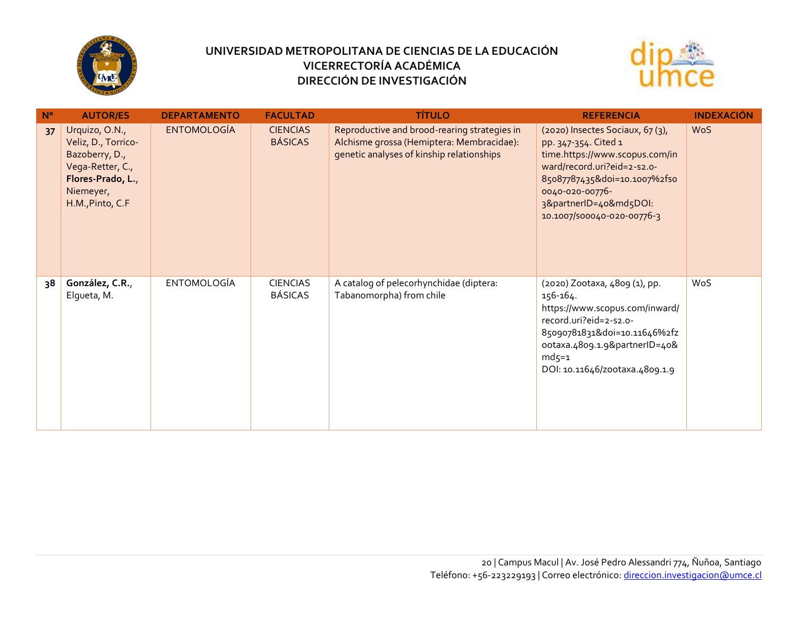



| $N^{\circ}$ | <b>AUTOR/ES</b>                                                                                                                   | <b>DEPARTAMENTO</b> | <b>FACULTAD</b>                   | <b>TÍTULO</b>                                                                                                                          | <b>REFERENCIA</b>                                                                                                                                                                                                                   | <b>INDEXACIÓN</b> |
|-------------|-----------------------------------------------------------------------------------------------------------------------------------|---------------------|-----------------------------------|----------------------------------------------------------------------------------------------------------------------------------------|-------------------------------------------------------------------------------------------------------------------------------------------------------------------------------------------------------------------------------------|-------------------|
| 37          | Urquizo, O.N.,<br>Veliz, D., Torrico-<br>Bazoberry, D.,<br>Vega-Retter, C.,<br>Flores-Prado, L.,<br>Niemeyer,<br>H.M., Pinto, C.F | <b>ENTOMOLOGÍA</b>  | <b>CIENCIAS</b><br><b>BÁSICAS</b> | Reproductive and brood-rearing strategies in<br>Alchisme grossa (Hemiptera: Membracidae):<br>genetic analyses of kinship relationships | (2020) Insectes Sociaux, 67(3),<br>pp. 347-354. Cited 1<br>time.https://www.scopus.com/in<br>ward/record.uri?eid=2-s2.o-<br>85087787435&doi=10.1007%2fso<br>0040-020-00776-<br>3&partnerID=40&md5DOI:<br>10.1007/500040-020-00776-3 | <b>WoS</b>        |
| 38          | González, C.R.,<br>Elgueta, M.                                                                                                    | <b>ENTOMOLOGÍA</b>  | <b>CIENCIAS</b><br><b>BÁSICAS</b> | A catalog of pelecorhynchidae (diptera:<br>Tabanomorpha) from chile                                                                    | (2020) Zootaxa, 4809 (1), pp.<br>156-164.<br>https://www.scopus.com/inward/<br>record.uri?eid=2-s2.o-<br>85090781831&doi=10.11646%2fz<br>ootaxa.4809.1.9&partnerID=40&<br>$md5=1$<br>DOI: 10.11646/zootaxa.4809.1.9                 | WoS               |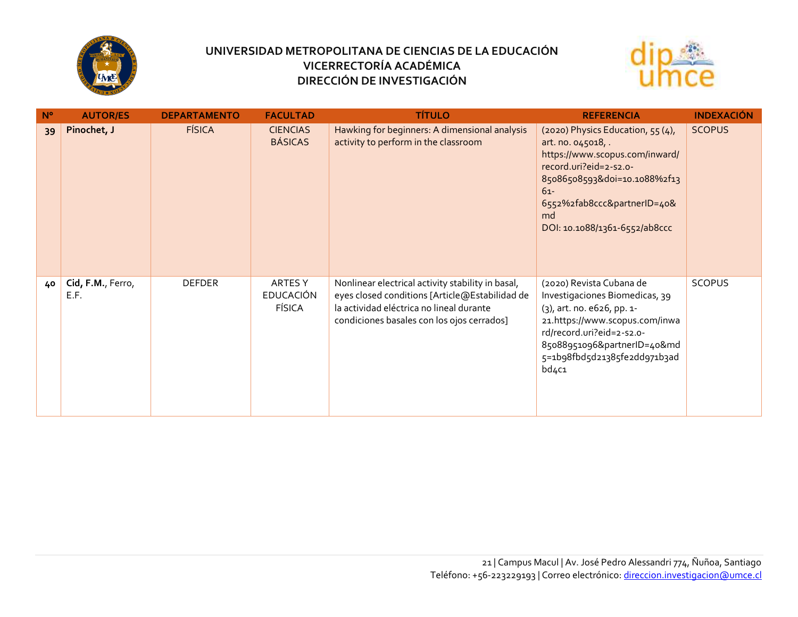



| $N^{\circ}$ | <b>AUTOR/ES</b>           | <b>DEPARTAMENTO</b> | <b>FACULTAD</b>                              | <b>TÍTULO</b>                                                                                                                                                                                 | <b>REFERENCIA</b>                                                                                                                                                                                                                  | <b>INDEXACIÓN</b> |
|-------------|---------------------------|---------------------|----------------------------------------------|-----------------------------------------------------------------------------------------------------------------------------------------------------------------------------------------------|------------------------------------------------------------------------------------------------------------------------------------------------------------------------------------------------------------------------------------|-------------------|
| 39          | Pinochet, J               | <b>FÍSICA</b>       | <b>CIENCIAS</b><br><b>BÁSICAS</b>            | Hawking for beginners: A dimensional analysis<br>activity to perform in the classroom                                                                                                         | (2020) Physics Education, 55(4),<br>art. no. 045018, .<br>https://www.scopus.com/inward/<br>record.uri?eid=2-s2.o-<br>85086508593&doi=10.1088%2f13<br>$61 -$<br>6552%2fab8ccc&partnerID=40&<br>md<br>DOI: 10.1088/1361-6552/ab8ccc | <b>SCOPUS</b>     |
| 40          | Cid, F.M., Ferro,<br>E.F. | <b>DEFDER</b>       | ARTES Y<br><b>EDUCACIÓN</b><br><b>FÍSICA</b> | Nonlinear electrical activity stability in basal,<br>eyes closed conditions [Article@Estabilidad de<br>la actividad eléctrica no lineal durante<br>condiciones basales con los ojos cerrados] | (2020) Revista Cubana de<br>Investigaciones Biomedicas, 39<br>(3), art. no. e626, pp. 1-<br>21.https://www.scopus.com/inwa<br>rd/record.uri?eid=2-s2.o-<br>85088951096&partnerID=40&md<br>5=1b98fbd5d21385fe2dd971b3ad<br>bd4c1    | <b>SCOPUS</b>     |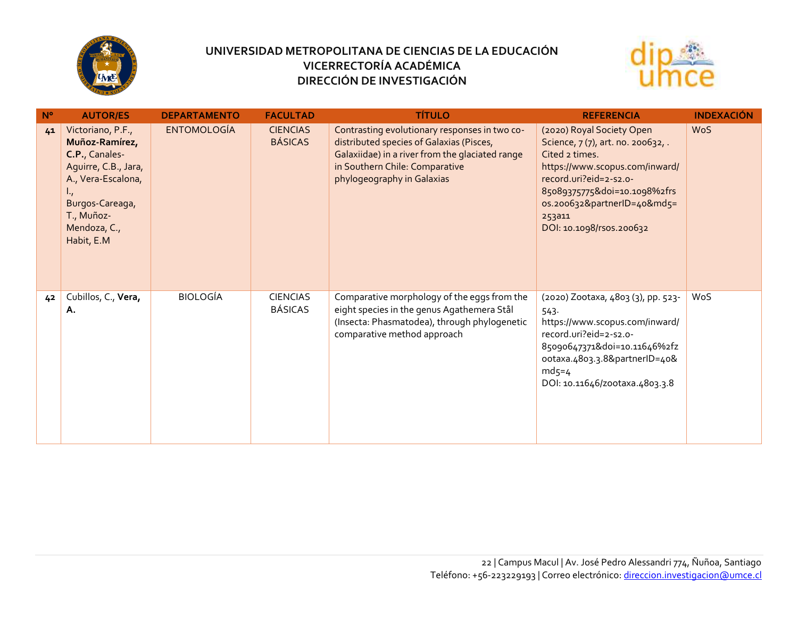



| $N^{\circ}$ | <b>AUTOR/ES</b>                                                                                                                                                                      | <b>DEPARTAMENTO</b> | <b>FACULTAD</b>                   | <b>TÍTULO</b>                                                                                                                                                                                                | <b>REFERENCIA</b>                                                                                                                                                                                                                                | <b>INDEXACIÓN</b> |
|-------------|--------------------------------------------------------------------------------------------------------------------------------------------------------------------------------------|---------------------|-----------------------------------|--------------------------------------------------------------------------------------------------------------------------------------------------------------------------------------------------------------|--------------------------------------------------------------------------------------------------------------------------------------------------------------------------------------------------------------------------------------------------|-------------------|
| 41          | Victoriano, P.F.,<br>Muñoz-Ramírez,<br>C.P., Canales-<br>Aguirre, C.B., Jara,<br>A., Vera-Escalona,<br>$\mathbf{L}_I$<br>Burgos-Careaga,<br>T., Muñoz-<br>Mendoza, C.,<br>Habit, E.M | <b>ENTOMOLOGÍA</b>  | <b>CIENCIAS</b><br><b>BÁSICAS</b> | Contrasting evolutionary responses in two co-<br>distributed species of Galaxias (Pisces,<br>Galaxiidae) in a river from the glaciated range<br>in Southern Chile: Comparative<br>phylogeography in Galaxias | (2020) Royal Society Open<br>Science, 7(7), art. no. 200632,.<br>Cited 2 times.<br>https://www.scopus.com/inward/<br>record.uri?eid=2-s2.o-<br>85089375775&doi=10.1098%2frs<br>os.200632&partnerID=40&md5=<br>253a11<br>DOI: 10.1098/rsos.200632 | <b>WoS</b>        |
| 42          | Cubillos, C., Vera,<br>Α.                                                                                                                                                            | <b>BIOLOGÍA</b>     | <b>CIENCIAS</b><br><b>BÁSICAS</b> | Comparative morphology of the eggs from the<br>eight species in the genus Agathemera Stål<br>(Insecta: Phasmatodea), through phylogenetic<br>comparative method approach                                     | (2020) Zootaxa, 4803 (3), pp. 523-<br>543.<br>https://www.scopus.com/inward/<br>record.uri?eid=2-s2.o-<br>85090647371&doi=10.11646%2fz<br>ootaxa.4803.3.8&partnerID=40&<br>$md5=4$<br>DOI: 10.11646/zootaxa.4803.3.8                             | WoS               |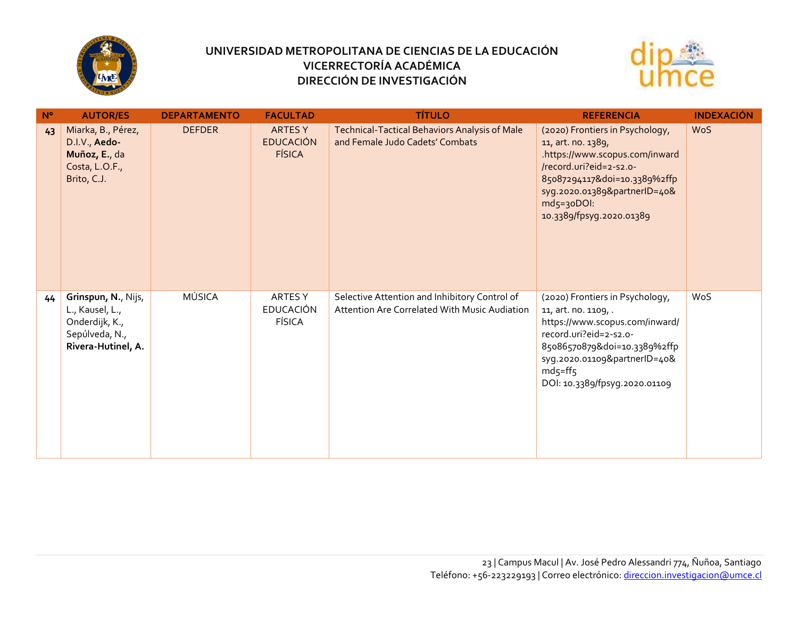



| $N^{\circ}$ | <b>AUTOR/ES</b>                                                                                  | <b>DEPARTAMENTO</b> | <b>FACULTAD</b>                                     | <b>TÍTULO</b>                                                                                  | <b>REFERENCIA</b>                                                                                                                                                                                                                 | <b>INDEXACIÓN</b> |
|-------------|--------------------------------------------------------------------------------------------------|---------------------|-----------------------------------------------------|------------------------------------------------------------------------------------------------|-----------------------------------------------------------------------------------------------------------------------------------------------------------------------------------------------------------------------------------|-------------------|
| 43          | Miarka, B., Pérez,<br>D.I.V., Aedo-<br>Muñoz, E., da<br>Costa, L.O.F.,<br>Brito, C.J.            | <b>DEFDER</b>       | <b>ARTES Y</b><br><b>EDUCACIÓN</b><br><b>FÍSICA</b> | Technical-Tactical Behaviors Analysis of Male<br>and Female Judo Cadets' Combats               | (2020) Frontiers in Psychology,<br>11, art. no. 1389,<br>.https://www.scopus.com/inward<br>/record.uri?eid=2-s2.o-<br>85087294117&doi=10.3389%2ffp<br>syg.2020.01389&partnerID=40&<br>$md5=30D01:$<br>10.3389/fpsyg.2020.01389    | <b>WoS</b>        |
| 44          | Grinspun, N., Nijs,<br>L., Kausel, L.,<br>Onderdijk, K.,<br>Sepúlveda, N.,<br>Rivera-Hutinel, A. | <b>MÚSICA</b>       | ARTES Y<br><b>EDUCACIÓN</b><br><b>FÍSICA</b>        | Selective Attention and Inhibitory Control of<br>Attention Are Correlated With Music Audiation | (2020) Frontiers in Psychology,<br>11, art. no. 1109, .<br>https://www.scopus.com/inward/<br>record.uri?eid=2-s2.o-<br>85086570879&doi=10.3389%2ffp<br>syg.2020.01109&partnerID=40&<br>$md5=ff5$<br>DOI: 10.3389/fpsyg.2020.01109 | WoS               |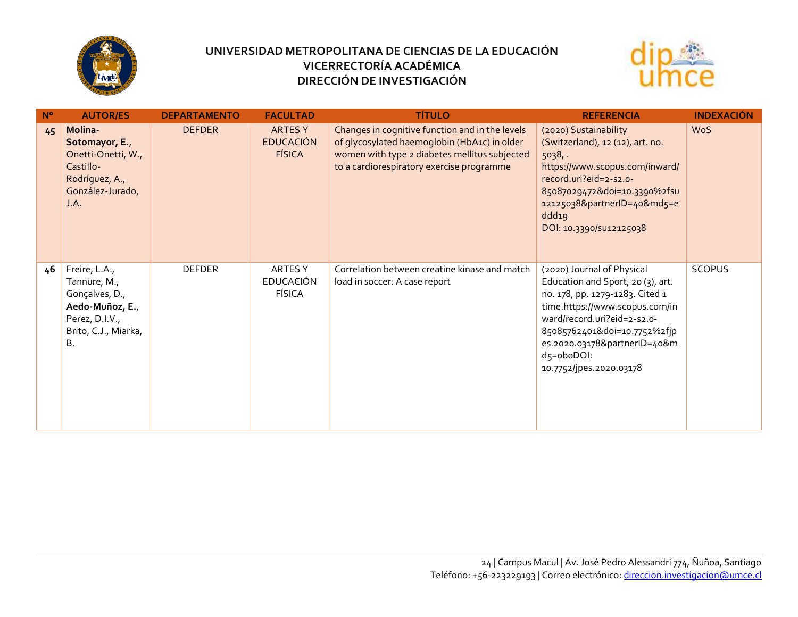



| $N^{\circ}$ | <b>AUTOR/ES</b>                                                                                                    | <b>DEPARTAMENTO</b> | <b>FACULTAD</b>                                     | <b>TÍTULO</b>                                                                                                                                                                                 | <b>REFERENCIA</b>                                                                                                                                                                                                                                                            | <b>INDEXACIÓN</b> |
|-------------|--------------------------------------------------------------------------------------------------------------------|---------------------|-----------------------------------------------------|-----------------------------------------------------------------------------------------------------------------------------------------------------------------------------------------------|------------------------------------------------------------------------------------------------------------------------------------------------------------------------------------------------------------------------------------------------------------------------------|-------------------|
| 45          | Molina-<br>Sotomayor, E.,<br>Onetti-Onetti, W.,<br>Castillo-<br>Rodríguez, A.,<br>González-Jurado,<br>J.A.         | <b>DEFDER</b>       | <b>ARTES Y</b><br><b>EDUCACIÓN</b><br><b>FÍSICA</b> | Changes in cognitive function and in the levels<br>of glycosylated haemoglobin (HbA1c) in older<br>women with type 2 diabetes mellitus subjected<br>to a cardiorespiratory exercise programme | (2020) Sustainability<br>(Switzerland), 12 (12), art. no.<br>5038.<br>https://www.scopus.com/inward/<br>record.uri?eid=2-s2.o-<br>85087029472&doi=10.3390%2fsu<br>12125038&partnerID=40&md5=e<br>ddd19<br>DOI: 10.3390/SU12125038                                            | <b>WoS</b>        |
| 46          | Freire, L.A.,<br>Tannure, M.,<br>Gonçalves, D.,<br>Aedo-Muñoz, E.,<br>Perez, D.I.V.,<br>Brito, C.J., Miarka,<br>Β. | <b>DEFDER</b>       | ARTES Y<br><b>EDUCACIÓN</b><br><b>FÍSICA</b>        | Correlation between creatine kinase and match<br>load in soccer: A case report                                                                                                                | (2020) Journal of Physical<br>Education and Sport, 20 (3), art.<br>no. 178, pp. 1279-1283. Cited 1<br>time.https://www.scopus.com/in<br>ward/record.uri?eid=2-s2.o-<br>85085762401&doi=10.7752%2fjp<br>es.2020.03178&partnerID=40&m<br>d5=oboDOI:<br>10.7752/jpes.2020.03178 | <b>SCOPUS</b>     |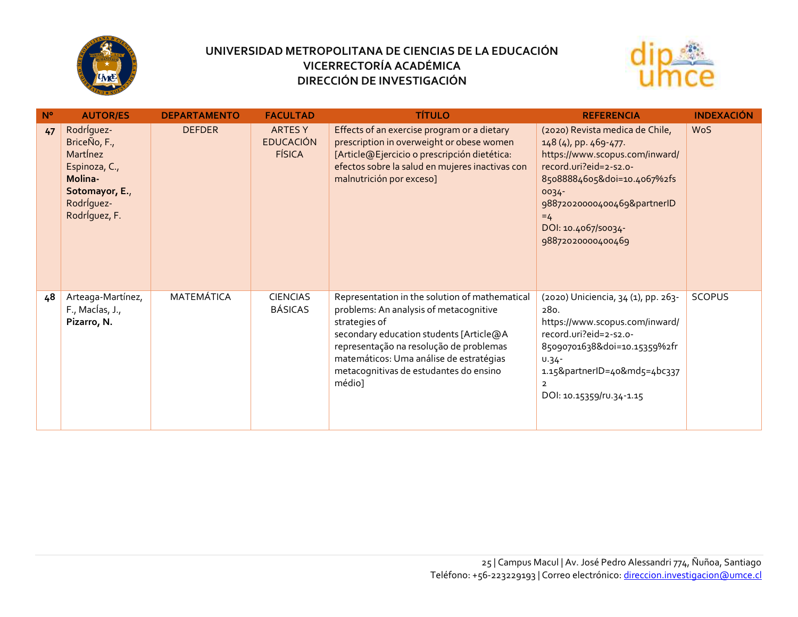



| $N^{\circ}$ | <b>AUTOR/ES</b>                                                                                                     | <b>DEPARTAMENTO</b> | <b>FACULTAD</b>                                     | <b>TÍTULO</b>                                                                                                                                                                                                                                                                                  | <b>REFERENCIA</b>                                                                                                                                                                                                                               | <b>INDEXACIÓN</b> |
|-------------|---------------------------------------------------------------------------------------------------------------------|---------------------|-----------------------------------------------------|------------------------------------------------------------------------------------------------------------------------------------------------------------------------------------------------------------------------------------------------------------------------------------------------|-------------------------------------------------------------------------------------------------------------------------------------------------------------------------------------------------------------------------------------------------|-------------------|
| 47          | Rodríguez-<br>BriceÑo, F.,<br>Martinez<br>Espinoza, C.,<br>Molina-<br>Sotomayor, E.,<br>Rodríguez-<br>Rodríguez, F. | <b>DEFDER</b>       | <b>ARTES Y</b><br><b>EDUCACIÓN</b><br><b>FÍSICA</b> | Effects of an exercise program or a dietary<br>prescription in overweight or obese women<br>[Article@Ejercicio o prescripción dietética:<br>efectos sobre la salud en mujeres inactivas con<br>malnutrición por exceso]                                                                        | (2020) Revista medica de Chile,<br>148 (4), pp. 469-477.<br>https://www.scopus.com/inward/<br>record.uri?eid=2-s2.o-<br>85088884605&doi=10.4067%2fs<br>0034-<br>98872020000400469&partnerID<br>$=4$<br>DOI: 10.4067/50034-<br>98872020000400469 | <b>WoS</b>        |
| 48          | Arteaga-Martínez,<br>$F_{\cdot}$ , Maclas, J.,<br>Pizarro, N.                                                       | MATEMÁTICA          | <b>CIENCIAS</b><br><b>BÁSICAS</b>                   | Representation in the solution of mathematical<br>problems: An analysis of metacognitive<br>strategies of<br>secondary education students [Article@A<br>representação na resolução de problemas<br>matemáticos: Uma análise de estratégias<br>metacognitivas de estudantes do ensino<br>médio] | (2020) Uniciencia, 34 (1), pp. 263-<br>280.<br>https://www.scopus.com/inward/<br>record.uri?eid=2-s2.o-<br>85090701638&doi=10.15359%2fr<br>$U.34 -$<br>1.15&partnerID=40&md5=4bc337<br>$\overline{2}$<br>DOI: 10.15359/ru.34-1.15               | <b>SCOPUS</b>     |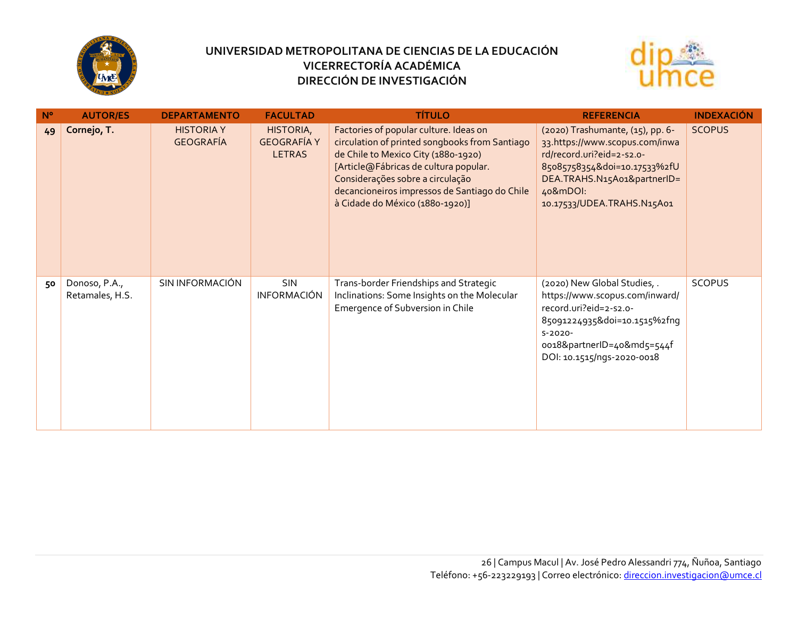



| $N^{\circ}$ | <b>AUTOR/ES</b>                  | <b>DEPARTAMENTO</b>                   | <b>FACULTAD</b>                                  | <b>TÍTULO</b>                                                                                                                                                                                                                                                                                    | <b>REFERENCIA</b>                                                                                                                                                                                        | <b>INDEXACIÓN</b> |
|-------------|----------------------------------|---------------------------------------|--------------------------------------------------|--------------------------------------------------------------------------------------------------------------------------------------------------------------------------------------------------------------------------------------------------------------------------------------------------|----------------------------------------------------------------------------------------------------------------------------------------------------------------------------------------------------------|-------------------|
| 49          | Cornejo, T.                      | <b>HISTORIA Y</b><br><b>GEOGRAFÍA</b> | HISTORIA,<br><b>GEOGRAFÍA Y</b><br><b>LETRAS</b> | Factories of popular culture. Ideas on<br>circulation of printed songbooks from Santiago<br>de Chile to Mexico City (1880-1920)<br>[Article@Fábricas de cultura popular.<br>Considerações sobre a circulação<br>decancioneiros impressos de Santiago do Chile<br>à Cidade do México (1880-1920)] | (2020) Trashumante, (15), pp. 6-<br>33.https://www.scopus.com/inwa<br>rd/record.uri?eid=2-s2.o-<br>85085758354&doi=10.17533%2fU<br>DEA.TRAHS.N15A01&partnerID=<br>40&mDOI:<br>10.17533/UDEA.TRAHS.N15A01 | <b>SCOPUS</b>     |
| 50          | Donoso, P.A.,<br>Retamales, H.S. | SIN INFORMACIÓN                       | SIN<br><b>INFORMACIÓN</b>                        | Trans-border Friendships and Strategic<br>Inclinations: Some Insights on the Molecular<br>Emergence of Subversion in Chile                                                                                                                                                                       | (2020) New Global Studies, .<br>https://www.scopus.com/inward/<br>record.uri?eid=2-s2.o-<br>85091224935&doi=10.1515%2fnq<br>$S-2020-$<br>oo18&partnerID=40&md5=544f<br>DOI: 10.1515/ngs-2020-0018        | <b>SCOPUS</b>     |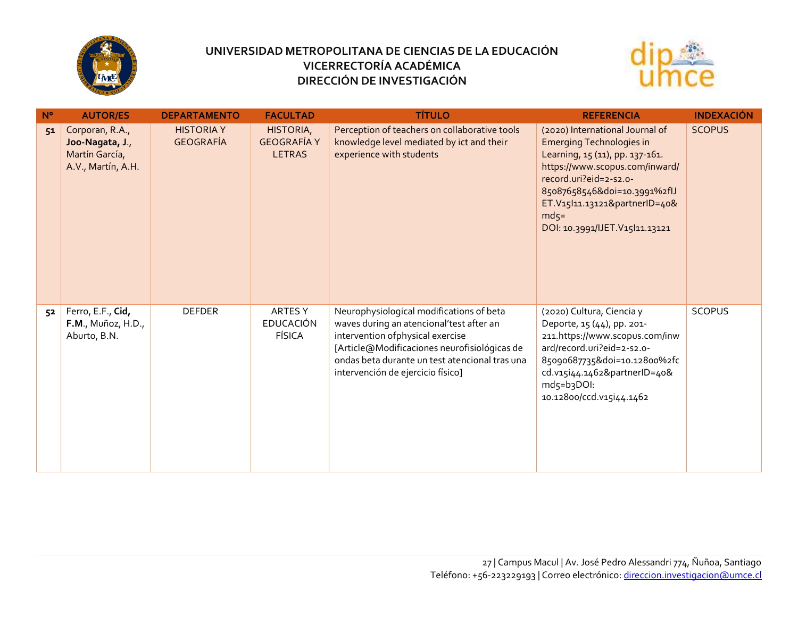



| $N^{\circ}$ | <b>AUTOR/ES</b>                                                            | <b>DEPARTAMENTO</b>                   | <b>FACULTAD</b>                                  | <b>TÍTULO</b>                                                                                                                                                                                                                                                    | <b>REFERENCIA</b>                                                                                                                                                                                                                                                              | <b>INDEXACIÓN</b> |
|-------------|----------------------------------------------------------------------------|---------------------------------------|--------------------------------------------------|------------------------------------------------------------------------------------------------------------------------------------------------------------------------------------------------------------------------------------------------------------------|--------------------------------------------------------------------------------------------------------------------------------------------------------------------------------------------------------------------------------------------------------------------------------|-------------------|
| 51          | Corporan, R.A.,<br>Joo-Nagata, J.,<br>Martín García,<br>A.V., Martín, A.H. | <b>HISTORIA Y</b><br><b>GEOGRAFÍA</b> | HISTORIA,<br><b>GEOGRAFÍA Y</b><br><b>LETRAS</b> | Perception of teachers on collaborative tools<br>knowledge level mediated by ict and their<br>experience with students                                                                                                                                           | (2020) International Journal of<br><b>Emerging Technologies in</b><br>Learning, 15 (11), pp. 137-161.<br>https://www.scopus.com/inward/<br>record.uri?eid=2-s2.o-<br>85087658546&doi=10.3991%2flJ<br>ET.V15 11.13121&partnerID=40&<br>$mds=$<br>DOI: 10.3991/IJET.V15 11.13121 | <b>SCOPUS</b>     |
| 52          | Ferro, E.F., Cid,<br>F.M., Muñoz, H.D.,<br>Aburto, B.N.                    | <b>DEFDER</b>                         | ARTES Y<br><b>EDUCACIÓN</b><br><b>FÍSICA</b>     | Neurophysiological modifications of beta<br>waves during an atencional'test after an<br>intervention of physical exercise<br>[Article@Modificaciones neurofisiológicas de<br>ondas beta durante un test atencional tras una<br>intervención de ejercicio físico] | (2020) Cultura, Ciencia y<br>Deporte, 15 (44), pp. 201-<br>211.https://www.scopus.com/inw<br>ard/record.uri?eid=2-s2.o-<br>85090687735&doi=10.12800%2fc<br>cd.v15i44.1462&partnerID=40&<br>md5=b3DOI:<br>10.12800/ccd.v15i44.1462                                              | <b>SCOPUS</b>     |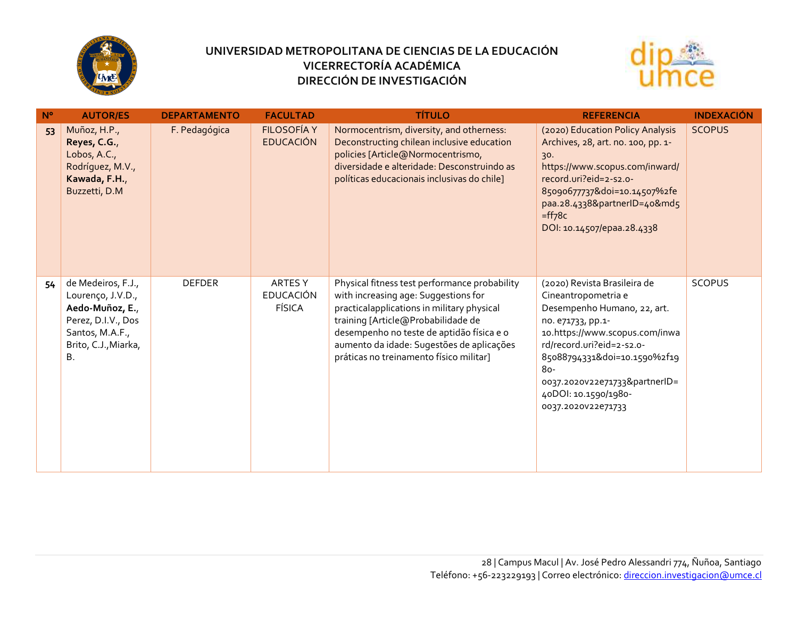



| $N^{\circ}$ | <b>AUTOR/ES</b>                                                                                                                   | <b>DEPARTAMENTO</b> | <b>FACULTAD</b>                              | <b>TÍTULO</b>                                                                                                                                                                                                                                                                                                  | <b>REFERENCIA</b>                                                                                                                                                                                                                                                                            | <b>INDEXACIÓN</b> |
|-------------|-----------------------------------------------------------------------------------------------------------------------------------|---------------------|----------------------------------------------|----------------------------------------------------------------------------------------------------------------------------------------------------------------------------------------------------------------------------------------------------------------------------------------------------------------|----------------------------------------------------------------------------------------------------------------------------------------------------------------------------------------------------------------------------------------------------------------------------------------------|-------------------|
| 53          | Muñoz, H.P.,<br>Reyes, C.G.,<br>Lobos, A.C.,<br>Rodríguez, M.V.,<br>Kawada, F.H.,<br>Buzzetti, D.M                                | F. Pedagógica       | <b>FILOSOFÍA Y</b><br><b>EDUCACIÓN</b>       | Normocentrism, diversity, and otherness:<br>Deconstructing chilean inclusive education<br>policies [Article@Normocentrismo,<br>diversidade e alteridade: Desconstruindo as<br>políticas educacionais inclusivas do chile]                                                                                      | (2020) Education Policy Analysis<br>Archives, 28, art. no. 100, pp. 1-<br>30.<br>https://www.scopus.com/inward/<br>record.uri?eid=2-s2.o-<br>85090677737&doi=10.14507%2fe<br>paa.28.4338&partnerID=40&md5<br>$=f f 78c$<br>DOI: 10.14507/epaa.28.4338                                        | <b>SCOPUS</b>     |
| 54          | de Medeiros, F.J.,<br>Lourenço, J.V.D.,<br>Aedo-Muñoz, E.,<br>Perez, D.I.V., Dos<br>Santos, M.A.F.,<br>Brito, C.J., Miarka,<br>Β. | <b>DEFDER</b>       | ARTES Y<br><b>EDUCACIÓN</b><br><b>FÍSICA</b> | Physical fitness test performance probability<br>with increasing age: Suggestions for<br>practicalapplications in military physical<br>training [Article@Probabilidade de<br>desempenho no teste de aptidão física e o<br>aumento da idade: Sugestões de aplicações<br>práticas no treinamento físico militar] | (2020) Revista Brasileira de<br>Cineantropometria e<br>Desempenho Humano, 22, art.<br>no. e71733, pp.1-<br>10.https://www.scopus.com/inwa<br>rd/record.uri?eid=2-s2.o-<br>85088794331&doi=10.1590%2f19<br>80-<br>0037.2020v22e71733&partnerID=<br>40DOI: 10.1590/1980-<br>0037.2020V22e71733 | <b>SCOPUS</b>     |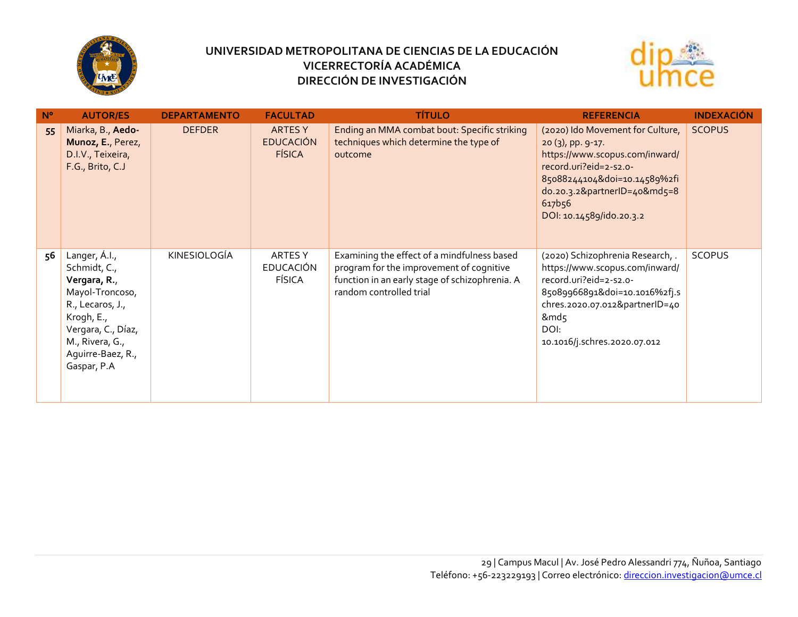



| $N^{\circ}$ | <b>AUTOR/ES</b>                                                                                                                                                                 | <b>DEPARTAMENTO</b> | <b>FACULTAD</b>                              | <b>TÍTULO</b>                                                                                                                                                        | <b>REFERENCIA</b>                                                                                                                                                                                                         | <b>INDEXACIÓN</b> |
|-------------|---------------------------------------------------------------------------------------------------------------------------------------------------------------------------------|---------------------|----------------------------------------------|----------------------------------------------------------------------------------------------------------------------------------------------------------------------|---------------------------------------------------------------------------------------------------------------------------------------------------------------------------------------------------------------------------|-------------------|
| 55          | Miarka, B., Aedo-<br>Munoz, E., Perez,<br>D.I.V., Teixeira,<br>F.G., Brito, C.J                                                                                                 | <b>DEFDER</b>       | ARTES Y<br><b>EDUCACIÓN</b><br><b>FÍSICA</b> | Ending an MMA combat bout: Specific striking<br>techniques which determine the type of<br>outcome                                                                    | (2020) Ido Movement for Culture,<br>$20(3)$ , pp. 9-17.<br>https://www.scopus.com/inward/<br>record.uri?eid=2-s2.o-<br>85088244104&doi=10.14589%2fi<br>do.20.3.2&partnerID=40&md5=8<br>617b56<br>DOI: 10.14589/ido.20.3.2 | <b>SCOPUS</b>     |
| 56          | Langer, A.I.,<br>Schmidt, C.,<br>Vergara, R.,<br>Mayol-Troncoso,<br>R., Lecaros, J.,<br>Krogh, E.,<br>Vergara, C., Díaz,<br>M., Rivera, G.,<br>Aguirre-Baez, R.,<br>Gaspar, P.A | KINESIOLOGÍA        | ARTES Y<br><b>EDUCACIÓN</b><br><b>FÍSICA</b> | Examining the effect of a mindfulness based<br>program for the improvement of cognitive<br>function in an early stage of schizophrenia. A<br>random controlled trial | (2020) Schizophrenia Research, .<br>https://www.scopus.com/inward/<br>record.uri?eid=2-s2.o-<br>85089966891&doi=10.1016%2fj.s<br>chres.2020.07.012&partnerID=40<br>&md5<br>DOI:<br>10.1016/j.schres.2020.07.012           | <b>SCOPUS</b>     |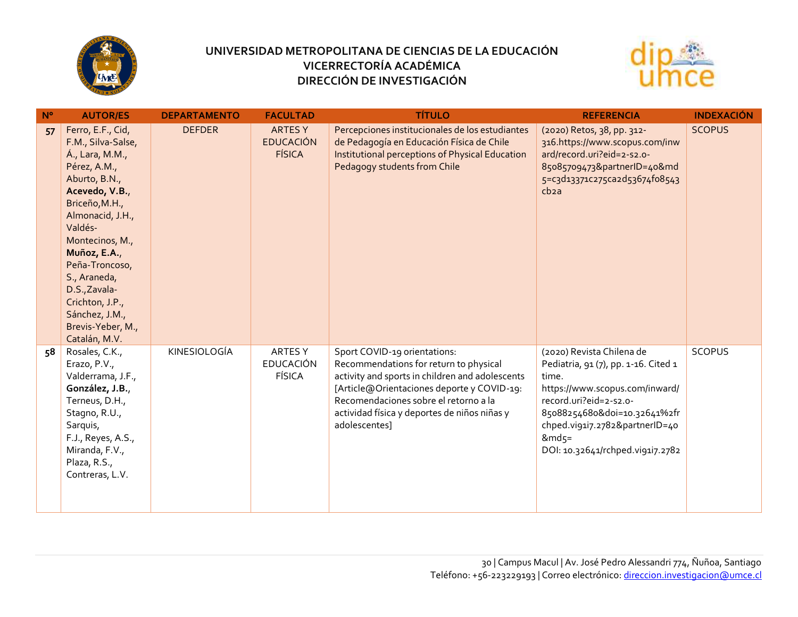



| $N^{\circ}$ | <b>AUTOR/ES</b>                                                                                                                                                                                                                                                                                                                 | <b>DEPARTAMENTO</b> | <b>FACULTAD</b>                                     | <b>TÍTULO</b>                                                                                                                                                                                                                                                                     | <b>REFERENCIA</b>                                                                                                                                                                                                                                                | <b>INDEXACIÓN</b> |
|-------------|---------------------------------------------------------------------------------------------------------------------------------------------------------------------------------------------------------------------------------------------------------------------------------------------------------------------------------|---------------------|-----------------------------------------------------|-----------------------------------------------------------------------------------------------------------------------------------------------------------------------------------------------------------------------------------------------------------------------------------|------------------------------------------------------------------------------------------------------------------------------------------------------------------------------------------------------------------------------------------------------------------|-------------------|
| 57          | Ferro, E.F., Cid,<br>F.M., Silva-Salse,<br>Á., Lara, M.M.,<br>Pérez, A.M.,<br>Aburto, B.N.,<br>Acevedo, V.B.,<br>Briceño, M.H.,<br>Almonacid, J.H.,<br>Valdés-<br>Montecinos, M.,<br>Muñoz, E.A.,<br>Peña-Troncoso,<br>S., Araneda,<br>D.S., Zavala-<br>Crichton, J.P.,<br>Sánchez, J.M.,<br>Brevis-Yeber, M.,<br>Catalán, M.V. | <b>DEFDER</b>       | <b>ARTES Y</b><br><b>EDUCACIÓN</b><br><b>FÍSICA</b> | Percepciones institucionales de los estudiantes<br>de Pedagogía en Educación Física de Chile<br>Institutional perceptions of Physical Education<br>Pedagogy students from Chile                                                                                                   | (2020) Retos, 38, pp. 312-<br>316.https://www.scopus.com/inw<br>ard/record.uri?eid=2-s2.o-<br>85085709473&partnerID=40&md<br>5=c3d13371c275ca2d53674fo8543<br>cb <sub>2a</sub>                                                                                   | <b>SCOPUS</b>     |
| 58          | Rosales, C.K.,<br>Erazo, P.V.,<br>Valderrama, J.F.,<br>González, J.B.,<br>Terneus, D.H.,<br>Stagno, R.U.,<br>Sarquis,<br>F.J., Reyes, A.S.,<br>Miranda, F.V.,<br>Plaza, R.S.,<br>Contreras, L.V.                                                                                                                                | KINESIOLOGÍA        | ARTES Y<br><b>EDUCACIÓN</b><br><b>FÍSICA</b>        | Sport COVID-19 orientations:<br>Recommendations for return to physical<br>activity and sports in children and adolescents<br>[Article@Orientaciones deporte y COVID-19:<br>Recomendaciones sobre el retorno a la<br>actividad física y deportes de niños niñas y<br>adolescentes] | (2020) Revista Chilena de<br>Pediatria, 91 (7), pp. 1-16. Cited 1<br>time.<br>https://www.scopus.com/inward/<br>record.uri?eid=2-s2.o-<br>85088254680&doi=10.32641%2fr<br>chped.vi91i7.2782&partnerID=40<br>$8 \text{mds} =$<br>DOI: 10.32641/rchped.vi91i7.2782 | <b>SCOPUS</b>     |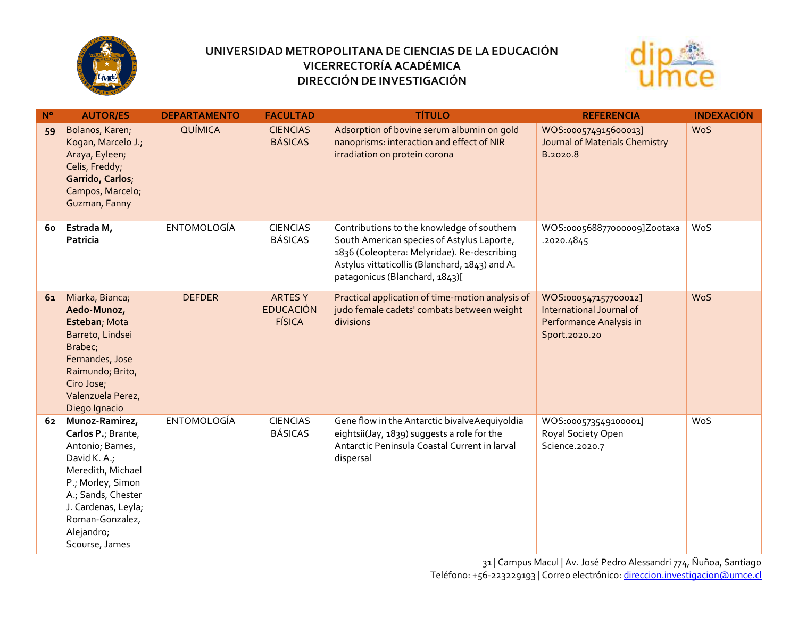



| $N^{\circ}$ | <b>AUTOR/ES</b>                                                                                                                                                                                                    | <b>DEPARTAMENTO</b> | <b>FACULTAD</b>                                    | <b>TÍTULO</b>                                                                                                                                                                                                               | <b>REFERENCIA</b>                                                                            | <b>INDEXACIÓN</b> |
|-------------|--------------------------------------------------------------------------------------------------------------------------------------------------------------------------------------------------------------------|---------------------|----------------------------------------------------|-----------------------------------------------------------------------------------------------------------------------------------------------------------------------------------------------------------------------------|----------------------------------------------------------------------------------------------|-------------------|
| 59          | Bolanos, Karen;<br>Kogan, Marcelo J.;<br>Araya, Eyleen;<br>Celis, Freddy;<br>Garrido, Carlos;<br>Campos, Marcelo;<br>Guzman, Fanny                                                                                 | QUÍMICA             | <b>CIENCIAS</b><br><b>BÁSICAS</b>                  | Adsorption of bovine serum albumin on gold<br>nanoprisms: interaction and effect of NIR<br>irradiation on protein corona                                                                                                    | WOS:000574915600013]<br>Journal of Materials Chemistry<br>B.2020.8                           | <b>WoS</b>        |
| 60          | Estrada M,<br>Patricia                                                                                                                                                                                             | <b>ENTOMOLOGÍA</b>  | <b>CIENCIAS</b><br><b>BÁSICAS</b>                  | Contributions to the knowledge of southern<br>South American species of Astylus Laporte,<br>1836 (Coleoptera: Melyridae). Re-describing<br>Astylus vittaticollis (Blanchard, 1843) and A.<br>patagonicus (Blanchard, 1843)[ | WOS:000568877000009]Zootaxa<br>.2020.4845                                                    | WoS               |
| 61          | Miarka, Bianca;<br>Aedo-Munoz,<br>Esteban; Mota<br>Barreto, Lindsei<br>Brabec;<br>Fernandes, Jose<br>Raimundo; Brito,<br>Ciro Jose;<br>Valenzuela Perez,<br>Diego Ignacio                                          | <b>DEFDER</b>       | <b>ARTESY</b><br><b>EDUCACIÓN</b><br><b>FÍSICA</b> | Practical application of time-motion analysis of<br>judo female cadets' combats between weight<br>divisions                                                                                                                 | WOS:000547157700012]<br>International Journal of<br>Performance Analysis in<br>Sport.2020.20 | <b>WoS</b>        |
| 62          | Munoz-Ramirez,<br>Carlos P.; Brante,<br>Antonio; Barnes,<br>David K. A.;<br>Meredith, Michael<br>P.; Morley, Simon<br>A.; Sands, Chester<br>J. Cardenas, Leyla;<br>Roman-Gonzalez,<br>Alejandro;<br>Scourse, James | <b>ENTOMOLOGÍA</b>  | <b>CIENCIAS</b><br><b>BÁSICAS</b>                  | Gene flow in the Antarctic bivalveAequiyoldia<br>eightsii(Jay, 1839) suggests a role for the<br>Antarctic Peninsula Coastal Current in larval<br>dispersal                                                                  | WOS:000573549100001]<br>Royal Society Open<br>Science.2020.7                                 | WoS               |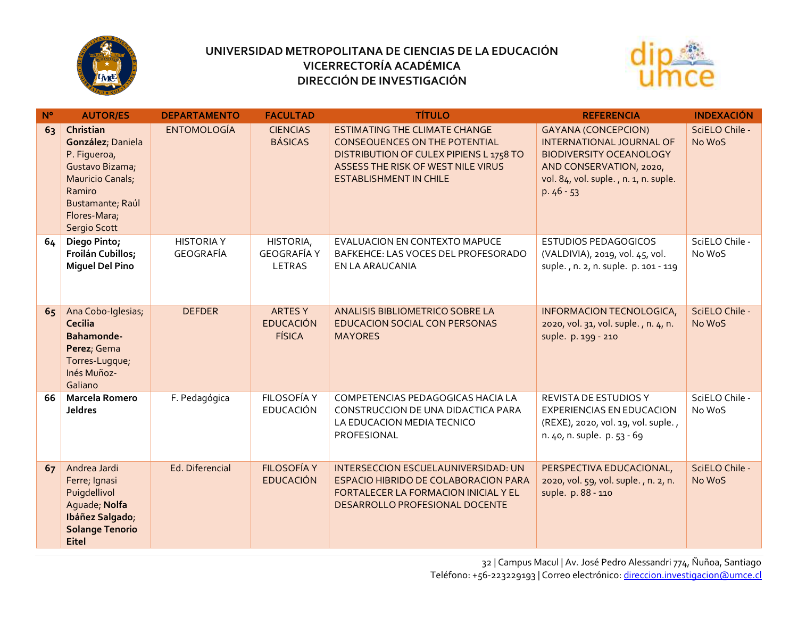



| $N^{\circ}$ | <b>AUTOR/ES</b>                                                                                                                                            | <b>DEPARTAMENTO</b>            | <b>FACULTAD</b>                                    | <b>TÍTULO</b>                                                                                                                                                                           | <b>REFERENCIA</b>                                                                                                                                                                  | <b>INDEXACIÓN</b>        |
|-------------|------------------------------------------------------------------------------------------------------------------------------------------------------------|--------------------------------|----------------------------------------------------|-----------------------------------------------------------------------------------------------------------------------------------------------------------------------------------------|------------------------------------------------------------------------------------------------------------------------------------------------------------------------------------|--------------------------|
| 63          | Christian<br>González; Daniela<br>P. Figueroa,<br>Gustavo Bizama;<br><b>Mauricio Canals;</b><br>Ramiro<br>Bustamante; Raúl<br>Flores-Mara;<br>Sergio Scott | <b>ENTOMOLOGÍA</b>             | <b>CIENCIAS</b><br><b>BÁSICAS</b>                  | <b>ESTIMATING THE CLIMATE CHANGE</b><br>CONSEQUENCES ON THE POTENTIAL<br>DISTRIBUTION OF CULEX PIPIENS L 1758 TO<br>ASSESS THE RISK OF WEST NILE VIRUS<br><b>ESTABLISHMENT IN CHILE</b> | <b>GAYANA (CONCEPCION)</b><br><b>INTERNATIONAL JOURNAL OF</b><br><b>BIODIVERSITY OCEANOLOGY</b><br>AND CONSERVATION, 2020,<br>vol. 84, vol. suple., n. 1, n. suple.<br>$p.46 - 53$ | SciELO Chile -<br>No WoS |
| 64          | Diego Pinto;<br>Froilán Cubillos;<br><b>Miguel Del Pino</b>                                                                                                | <b>HISTORIA Y</b><br>GEOGRAFÍA | HISTORIA,<br><b>GEOGRAFÍA Y</b><br>LETRAS          | EVALUACION EN CONTEXTO MAPUCE<br>BAFKEHCE: LAS VOCES DEL PROFESORADO<br>EN LA ARAUCANIA                                                                                                 | <b>ESTUDIOS PEDAGOGICOS</b><br>(VALDIVIA), 2019, vol. 45, vol.<br>suple., n. 2, n. suple. p. 101 - 119                                                                             | SciELO Chile -<br>No WoS |
| 65          | Ana Cobo-Iglesias;<br><b>Cecilia</b><br>Bahamonde-<br>Perez; Gema<br>Torres-Lugque;<br>Inés Muñoz-<br>Galiano                                              | <b>DEFDER</b>                  | <b>ARTESY</b><br><b>EDUCACIÓN</b><br><b>FÍSICA</b> | ANALISIS BIBLIOMETRICO SOBRE LA<br><b>EDUCACION SOCIAL CON PERSONAS</b><br><b>MAYORES</b>                                                                                               | INFORMACION TECNOLOGICA,<br>2020, vol. 31, vol. suple., n. 4, n.<br>suple. p. 199 - 210                                                                                            | SciELO Chile -<br>No WoS |
| 66          | <b>Marcela Romero</b><br><b>Jeldres</b>                                                                                                                    | F. Pedagógica                  | FILOSOFÍA Y<br><b>EDUCACIÓN</b>                    | COMPETENCIAS PEDAGOGICAS HACIA LA<br>CONSTRUCCION DE UNA DIDACTICA PARA<br>LA EDUCACION MEDIA TECNICO<br>PROFESIONAL                                                                    | <b>REVISTA DE ESTUDIOS Y</b><br><b>EXPERIENCIAS EN EDUCACION</b><br>(REXE), 2020, vol. 19, vol. suple.,<br>n. 40, n. suple. p. 53 - 69                                             | SciELO Chile -<br>No WoS |
| 67          | Andrea Jardi<br>Ferre; Ignasi<br>Puigdellivol<br>Aguade, Nolfa<br>Ibáñez Salgado;<br><b>Solange Tenorio</b><br><b>Eitel</b>                                | Ed. Diferencial                | <b>FILOSOFÍA Y</b><br><b>EDUCACIÓN</b>             | INTERSECCION ESCUELAUNIVERSIDAD: UN<br>ESPACIO HIBRIDO DE COLABORACION PARA<br>FORTALECER LA FORMACION INICIAL Y EL<br>DESARROLLO PROFESIONAL DOCENTE                                   | PERSPECTIVA EDUCACIONAL,<br>2020, vol. 59, vol. suple., n. 2, n.<br>suple. p. 88 - 110                                                                                             | SciELO Chile -<br>No WoS |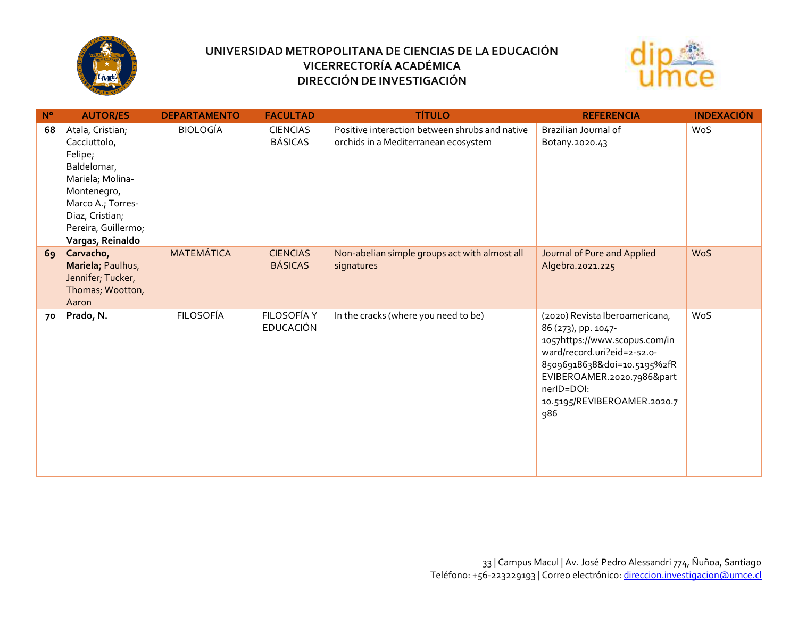



| $N^{\circ}$ | <b>AUTOR/ES</b>                                                                                                    | <b>DEPARTAMENTO</b> | <b>FACULTAD</b>                   | <b>TÍTULO</b>                                                                          | <b>REFERENCIA</b>                                                                                                                                                                                                                  | <b>INDEXACIÓN</b> |
|-------------|--------------------------------------------------------------------------------------------------------------------|---------------------|-----------------------------------|----------------------------------------------------------------------------------------|------------------------------------------------------------------------------------------------------------------------------------------------------------------------------------------------------------------------------------|-------------------|
| 68          | Atala, Cristian;<br>Cacciuttolo,<br>Felipe;<br>Baldelomar,<br>Mariela; Molina-<br>Montenegro,<br>Marco A.; Torres- | <b>BIOLOGÍA</b>     | <b>CIENCIAS</b><br><b>BÁSICAS</b> | Positive interaction between shrubs and native<br>orchids in a Mediterranean ecosystem | Brazilian Journal of<br>Botany.2020.43                                                                                                                                                                                             | WoS               |
|             | Diaz, Cristian;<br>Pereira, Guillermo;<br>Vargas, Reinaldo                                                         |                     |                                   |                                                                                        |                                                                                                                                                                                                                                    |                   |
| 69          | Carvacho,<br>Mariela; Paulhus,<br>Jennifer; Tucker,<br>Thomas; Wootton,<br>Aaron                                   | <b>MATEMÁTICA</b>   | <b>CIENCIAS</b><br><b>BÁSICAS</b> | Non-abelian simple groups act with almost all<br>signatures                            | Journal of Pure and Applied<br>Algebra.2021.225                                                                                                                                                                                    | <b>WoS</b>        |
| 70          | Prado, N.                                                                                                          | <b>FILOSOFÍA</b>    | FILOSOFÍA Y<br><b>EDUCACIÓN</b>   | In the cracks (where you need to be)                                                   | (2020) Revista Iberoamericana,<br>86 (273), pp. 1047-<br>1057https://www.scopus.com/in<br>ward/record.uri?eid=2-s2.o-<br>85096918638&doi=10.5195%2fR<br>EVIBEROAMER.2020.7986∂<br>nerID=DOI:<br>10.5195/REVIBEROAMER.2020.7<br>986 | WoS               |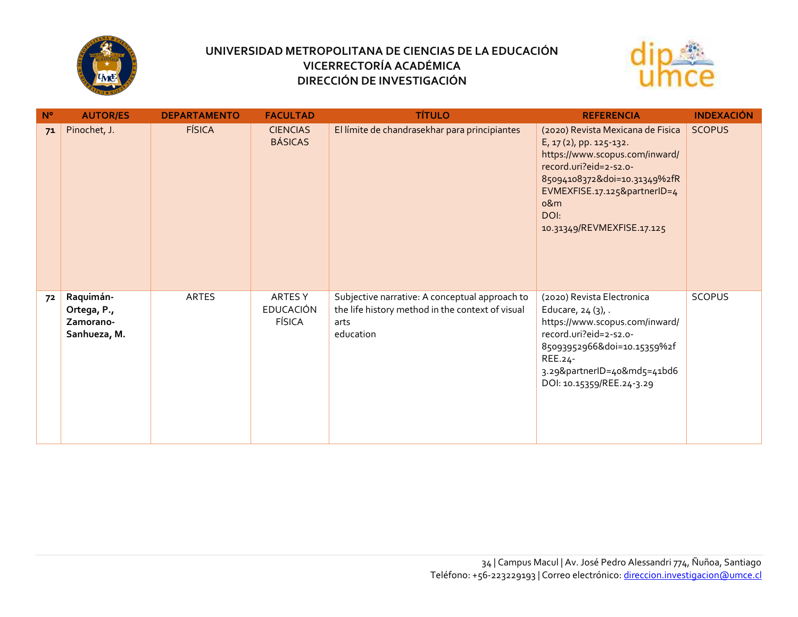



| $N^{\circ}$ | <b>AUTOR/ES</b>                                       | <b>DEPARTAMENTO</b> | <b>FACULTAD</b>                       | <b>TÍTULO</b>                                                                                                           | <b>REFERENCIA</b>                                                                                                                                                                                                                    | <b>INDEXACIÓN</b> |
|-------------|-------------------------------------------------------|---------------------|---------------------------------------|-------------------------------------------------------------------------------------------------------------------------|--------------------------------------------------------------------------------------------------------------------------------------------------------------------------------------------------------------------------------------|-------------------|
| 71          | Pinochet, J.                                          | <b>FÍSICA</b>       | <b>CIENCIAS</b><br><b>BÁSICAS</b>     | El límite de chandrasekhar para principiantes                                                                           | (2020) Revista Mexicana de Fisica<br>E, 17(2), pp. 125-132.<br>https://www.scopus.com/inward/<br>record.uri?eid=2-s2.o-<br>85094108372&doi=10.31349%2fR<br>EVMEXFISE.17.125&partnerID=4<br>o&m<br>DOI:<br>10.31349/REVMEXFISE.17.125 | <b>SCOPUS</b>     |
| 72          | Raquimán-<br>Ortega, P.,<br>Zamorano-<br>Sanhueza, M. | ARTES               | ARTES Y<br><b>EDUCACIÓN</b><br>FÍSICA | Subjective narrative: A conceptual approach to<br>the life history method in the context of visual<br>arts<br>education | (2020) Revista Electronica<br>Educare, $24(3)$ , .<br>https://www.scopus.com/inward/<br>record.uri?eid=2-s2.o-<br>85093952966&doi=10.15359%2f<br>REE.24-<br>3.29&partnerID=40&md5=41bd6<br>DOI: 10.15359/REE.24-3.29                 | SCOPUS            |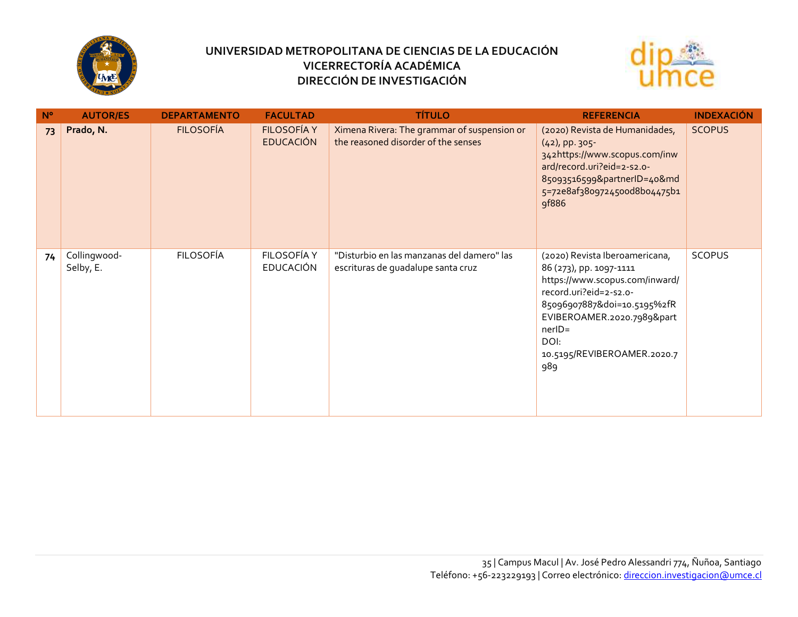



| $N^{\circ}$ | <b>AUTOR/ES</b>           | <b>DEPARTAMENTO</b> | <b>FACULTAD</b>                        | <b>TÍTULO</b>                                                                      | <b>REFERENCIA</b>                                                                                                                                                                                                                         | <b>INDEXACIÓN</b> |
|-------------|---------------------------|---------------------|----------------------------------------|------------------------------------------------------------------------------------|-------------------------------------------------------------------------------------------------------------------------------------------------------------------------------------------------------------------------------------------|-------------------|
| 73          | Prado, N.                 | <b>FILOSOFÍA</b>    | <b>FILOSOFÍA Y</b><br><b>EDUCACIÓN</b> | Ximena Rivera: The grammar of suspension or<br>the reasoned disorder of the senses | (2020) Revista de Humanidades,<br>$(42)$ , pp. 305-<br>342https://www.scopus.com/inw<br>ard/record.uri?eid=2-s2.o-<br>85093516599&partnerID=40&md<br>5=72e8af38o97245ood8bo4475b1<br>9f886                                                | <b>SCOPUS</b>     |
| 74          | Collingwood-<br>Selby, E. | <b>FILOSOFÍA</b>    | FILOSOFÍA Y<br><b>EDUCACIÓN</b>        | "Disturbio en las manzanas del damero" las<br>escrituras de quadalupe santa cruz   | (2020) Revista Iberoamericana,<br>86 (273), pp. 1097-1111<br>https://www.scopus.com/inward/<br>record.uri?eid=2-s2.o-<br>85096907887&doi=10.5195%2fR<br>EVIBEROAMER.2020.7989∂<br>$nerID =$<br>DOI:<br>10.5195/REVIBEROAMER.2020.7<br>989 | <b>SCOPUS</b>     |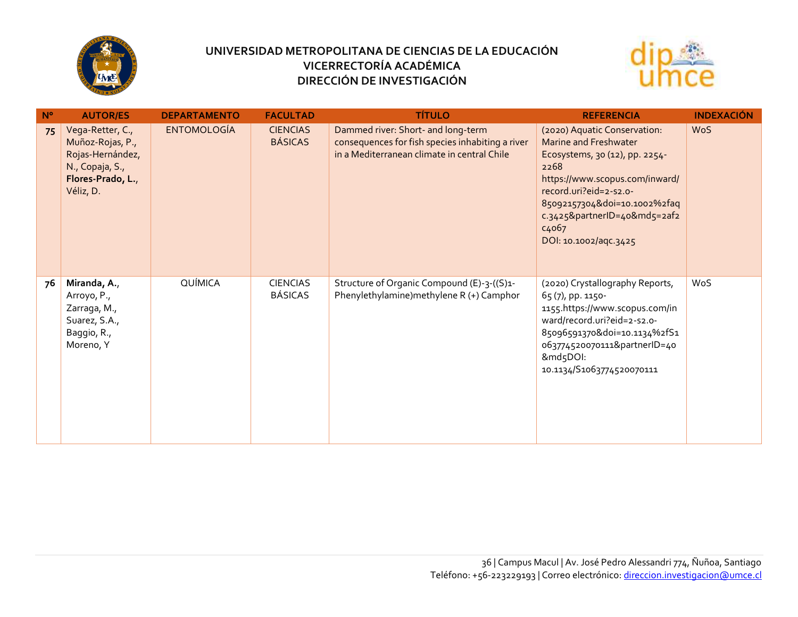



| $N^{\circ}$ | <b>AUTOR/ES</b>                                                                                               | <b>DEPARTAMENTO</b> | <b>FACULTAD</b>                   | <b>TÍTULO</b>                                                                                                                         | <b>REFERENCIA</b>                                                                                                                                                                                                                                                                 | <b>INDEXACIÓN</b> |
|-------------|---------------------------------------------------------------------------------------------------------------|---------------------|-----------------------------------|---------------------------------------------------------------------------------------------------------------------------------------|-----------------------------------------------------------------------------------------------------------------------------------------------------------------------------------------------------------------------------------------------------------------------------------|-------------------|
| 75          | Vega-Retter, C.,<br>Muñoz-Rojas, P.,<br>Rojas-Hernández,<br>N., Copaja, S.,<br>Flores-Prado, L.,<br>Véliz, D. | <b>ENTOMOLOGÍA</b>  | <b>CIENCIAS</b><br><b>BÁSICAS</b> | Dammed river: Short- and long-term<br>consequences for fish species inhabiting a river<br>in a Mediterranean climate in central Chile | (2020) Aquatic Conservation:<br><b>Marine and Freshwater</b><br>Ecosystems, 30 (12), pp. 2254-<br>2268<br>https://www.scopus.com/inward/<br>record.uri?eid=2-s2.o-<br>85092157304&doi=10.1002%2faq<br>c.3425&partnerID=40&md5=2af2<br>c <sub>4</sub> o67<br>DOI: 10.1002/aqc.3425 | <b>WoS</b>        |
| 76          | Miranda, A.,<br>Arroyo, P.,<br>Zarraga, M.,<br>Suarez, S.A.,<br>Baggio, R.,<br>Moreno, Y                      | QUÍMICA             | <b>CIENCIAS</b><br>BÁSICAS        | Structure of Organic Compound (E)-3-((S)1-<br>Phenylethylamine) methylene R (+) Camphor                                               | (2020) Crystallography Reports,<br>65(7), pp. 1150-<br>1155.https://www.scopus.com/in<br>ward/record.uri?eid=2-s2.o-<br>85096591370&doi=10.1134%2fS1<br>063774520070111&partnerID=40<br>&md5DOI:<br>10.1134/S1063774520070111                                                     | WoS               |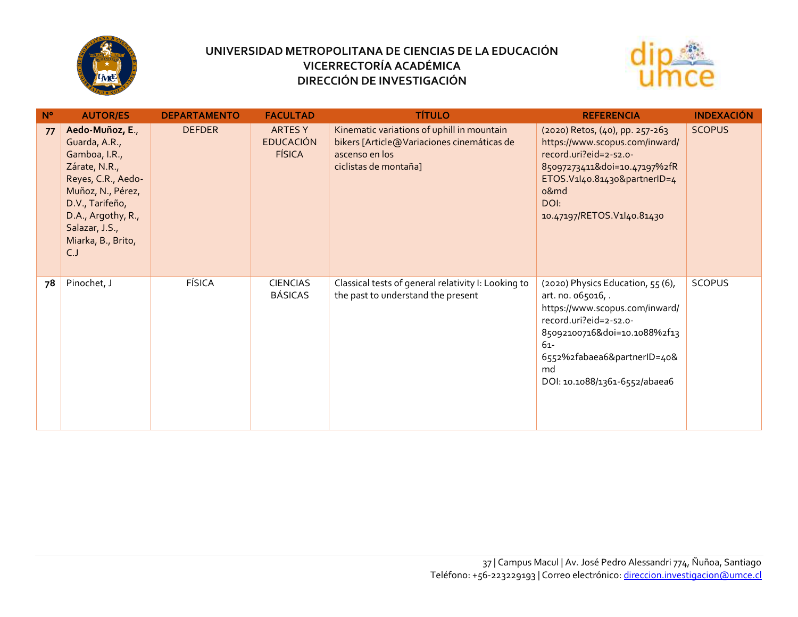



| $N^{\circ}$ | <b>AUTOR/ES</b>                                                                                                                                                                                       | <b>DEPARTAMENTO</b> | <b>FACULTAD</b>                                     | <b>TÍTULO</b>                                                                                                                       | <b>REFERENCIA</b>                                                                                                                                                                                                                  | <b>INDEXACIÓN</b> |
|-------------|-------------------------------------------------------------------------------------------------------------------------------------------------------------------------------------------------------|---------------------|-----------------------------------------------------|-------------------------------------------------------------------------------------------------------------------------------------|------------------------------------------------------------------------------------------------------------------------------------------------------------------------------------------------------------------------------------|-------------------|
| 77          | Aedo-Muñoz, E.,<br>Guarda, A.R.,<br>Gamboa, I.R.,<br>Zárate, N.R.,<br>Reyes, C.R., Aedo-<br>Muñoz, N., Pérez,<br>D.V., Tarifeño,<br>D.A., Argothy, R.,<br>Salazar, J.S.,<br>Miarka, B., Brito,<br>C.J | <b>DEFDER</b>       | <b>ARTES Y</b><br><b>EDUCACIÓN</b><br><b>FÍSICA</b> | Kinematic variations of uphill in mountain<br>bikers [Article@Variaciones cinemáticas de<br>ascenso en los<br>ciclistas de montaña] | (2020) Retos, (40), pp. 257-263<br>https://www.scopus.com/inward/<br>record.uri?eid=2-s2.o-<br>85097273411&doi=10.47197%2fR<br>ETOS.V1l40.81430&partnerID=4<br>o&md<br>DOI:<br>10.47197/RETOS.V1l40.81430                          | <b>SCOPUS</b>     |
| 78          | Pinochet, J                                                                                                                                                                                           | <b>FÍSICA</b>       | <b>CIENCIAS</b><br><b>BÁSICAS</b>                   | Classical tests of general relativity I: Looking to<br>the past to understand the present                                           | (2020) Physics Education, 55 (6),<br>art. no. 065016, .<br>https://www.scopus.com/inward/<br>record.uri?eid=2-s2.o-<br>85092100716&doi=10.1088%2f13<br>$61-$<br>6552%2fabaea6&partnerID=40&<br>md<br>DOI: 10.1088/1361-6552/abaea6 | <b>SCOPUS</b>     |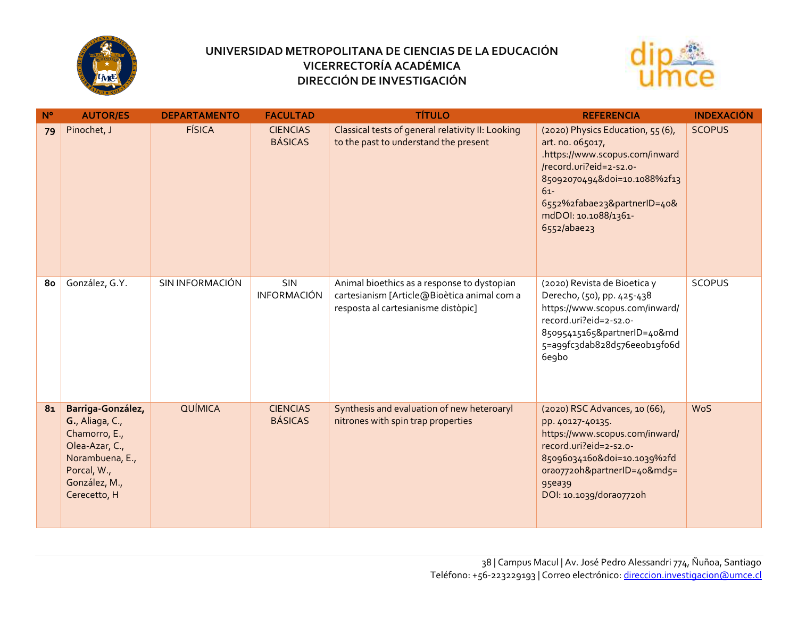



| $N^{\circ}$    | <b>AUTOR/ES</b>                                                                                                                            | <b>DEPARTAMENTO</b> | <b>FACULTAD</b>                   | <b>TÍTULO</b>                                                                                                                     | <b>REFERENCIA</b>                                                                                                                                                                                                                    | <b>INDEXACIÓN</b> |
|----------------|--------------------------------------------------------------------------------------------------------------------------------------------|---------------------|-----------------------------------|-----------------------------------------------------------------------------------------------------------------------------------|--------------------------------------------------------------------------------------------------------------------------------------------------------------------------------------------------------------------------------------|-------------------|
| 79             | Pinochet, J                                                                                                                                | <b>FÍSICA</b>       | <b>CIENCIAS</b><br><b>BÁSICAS</b> | Classical tests of general relativity II: Looking<br>to the past to understand the present                                        | (2020) Physics Education, 55 (6),<br>art. no. 065017,<br>.https://www.scopus.com/inward<br>/record.uri?eid=2-s2.o-<br>85092070494&doi=10.1088%2f13<br>$61-$<br>6552%2fabae23&partnerID=40&<br>mdDOI: 10.1088/1361-<br>$6552/aba$ e23 | <b>SCOPUS</b>     |
| 80             | González, G.Y.                                                                                                                             | SIN INFORMACIÓN     | <b>SIN</b><br><b>INFORMACIÓN</b>  | Animal bioethics as a response to dystopian<br>cartesianism [Article@Bioètica animal com a<br>resposta al cartesianisme distòpic] | (2020) Revista de Bioetica y<br>Derecho, (50), pp. 425-438<br>https://www.scopus.com/inward/<br>record.uri?eid=2-s2.o-<br>85095415165&partnerID=40&md<br>5=a99fc3dab828d576eeob19fo6d<br>6e9bo                                       | <b>SCOPUS</b>     |
| 8 <sub>1</sub> | Barriga-González,<br>G., Aliaga, C.,<br>Chamorro, E.,<br>Olea-Azar, C.,<br>Norambuena, E.,<br>Porcal, W.,<br>González, M.,<br>Cerecetto, H | QUÍMICA             | <b>CIENCIAS</b><br><b>BÁSICAS</b> | Synthesis and evaluation of new heteroaryl<br>nitrones with spin trap properties                                                  | (2020) RSC Advances, 10 (66),<br>pp. 40127-40135.<br>https://www.scopus.com/inward/<br>record.uri?eid=2-s2.o-<br>85096034160&doi=10.1039%2fd<br>orao7720h&partnerID=40&md5=<br>95ea39<br>DOI: 10.1039/dora07720h                     | <b>WoS</b>        |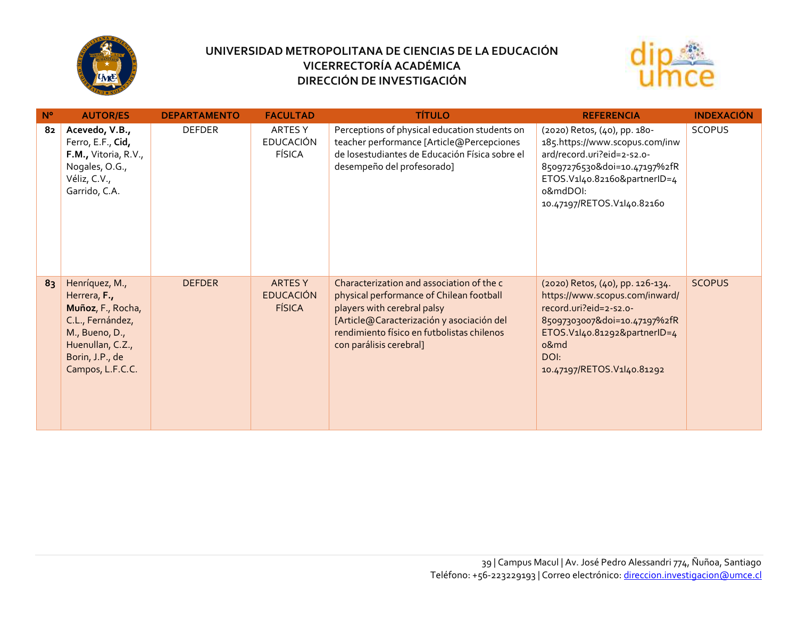



| $N^{\circ}$ | <b>AUTOR/ES</b>                                                                                                                                      | <b>DEPARTAMENTO</b> | <b>FACULTAD</b>                              | <b>TÍTULO</b>                                                                                                                                                                                                                              | <b>REFERENCIA</b>                                                                                                                                                                                          | <b>INDEXACIÓN</b> |
|-------------|------------------------------------------------------------------------------------------------------------------------------------------------------|---------------------|----------------------------------------------|--------------------------------------------------------------------------------------------------------------------------------------------------------------------------------------------------------------------------------------------|------------------------------------------------------------------------------------------------------------------------------------------------------------------------------------------------------------|-------------------|
| 82          | Acevedo, V.B.,<br>Ferro, E.F., Cid,<br><b>F.M., Vitoria, R.V.,</b><br>Nogales, O.G.,<br>Véliz, C.V.,<br>Garrido, C.A.                                | <b>DEFDER</b>       | ARTES Y<br><b>EDUCACIÓN</b><br>FÍSICA        | Perceptions of physical education students on<br>teacher performance [Article@Percepciones<br>de losestudiantes de Educación Física sobre el<br>desempeño del profesorado]                                                                 | (2020) Retos, (40), pp. 180-<br>185.https://www.scopus.com/inw<br>ard/record.uri?eid=2-s2.o-<br>85097276530&doi=10.47197%2fR<br>ETOS.V1l40.82160&partnerID=4<br>o&mdDOI:<br>10.47197/RETOS.V1l40.82160     | <b>SCOPUS</b>     |
| 83          | Henríquez, M.,<br>Herrera, F.,<br>Muñoz, F., Rocha,<br>C.L., Fernández,<br>M., Bueno, D.,<br>Huenullan, C.Z.,<br>Borin, J.P., de<br>Campos, L.F.C.C. | <b>DEFDER</b>       | ARTES Y<br><b>EDUCACIÓN</b><br><b>FÍSICA</b> | Characterization and association of the c<br>physical performance of Chilean football<br>players with cerebral palsy<br>[Article@Caracterización y asociación del<br>rendimiento físico en futbolistas chilenos<br>con parálisis cerebral] | (2020) Retos, (40), pp. 126-134.<br>https://www.scopus.com/inward/<br>record.uri?eid=2-s2.o-<br>85097303007&doi=10.47197%2fR<br>ETOS.V1I40.81292&partnerID=4<br>o&md<br>DOI:<br>10.47197/RETOS.V1l40.81292 | <b>SCOPUS</b>     |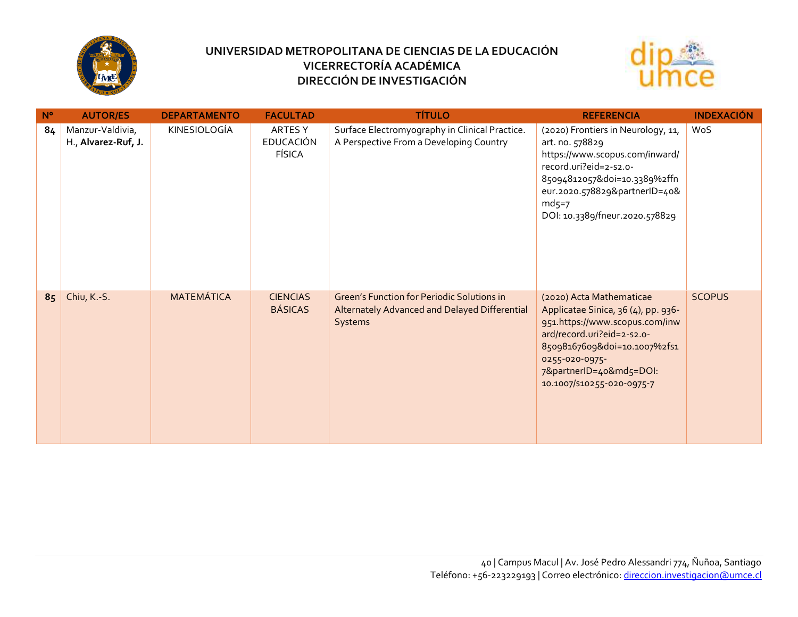



| $N^{\circ}$ | <b>AUTOR/ES</b>                         | <b>DEPARTAMENTO</b> | <b>FACULTAD</b>                       | <b>TÍTULO</b>                                                                                                 | <b>REFERENCIA</b>                                                                                                                                                                                                                         | <b>INDEXACIÓN</b> |
|-------------|-----------------------------------------|---------------------|---------------------------------------|---------------------------------------------------------------------------------------------------------------|-------------------------------------------------------------------------------------------------------------------------------------------------------------------------------------------------------------------------------------------|-------------------|
| 84          | Manzur-Valdivia,<br>H., Alvarez-Ruf, J. | KINESIOLOGÍA        | ARTES Y<br><b>EDUCACIÓN</b><br>FÍSICA | Surface Electromyography in Clinical Practice.<br>A Perspective From a Developing Country                     | (2020) Frontiers in Neurology, 11,<br>art. no. 578829<br>https://www.scopus.com/inward/<br>record.uri?eid=2-s2.o-<br>85094812057&doi=10.3389%2ffn<br>eur.2020.578829&partnerID=40&<br>$md5=7$<br>DOI: 10.3389/fneur.2020.578829           | WoS               |
| 85          | Chiu, K.-S.                             | <b>MATEMÁTICA</b>   | <b>CIENCIAS</b><br><b>BÁSICAS</b>     | <b>Green's Function for Periodic Solutions in</b><br>Alternately Advanced and Delayed Differential<br>Systems | (2020) Acta Mathematicae<br>Applicatae Sinica, 36 (4), pp. 936-<br>951.https://www.scopus.com/inw<br>ard/record.uri?eid=2-s2.o-<br>85098167609&doi=10.1007%2fs1<br>0255-020-0975-<br>7&partnerID=40&md5=DOI:<br>10.1007/S10255-020-0975-7 | <b>SCOPUS</b>     |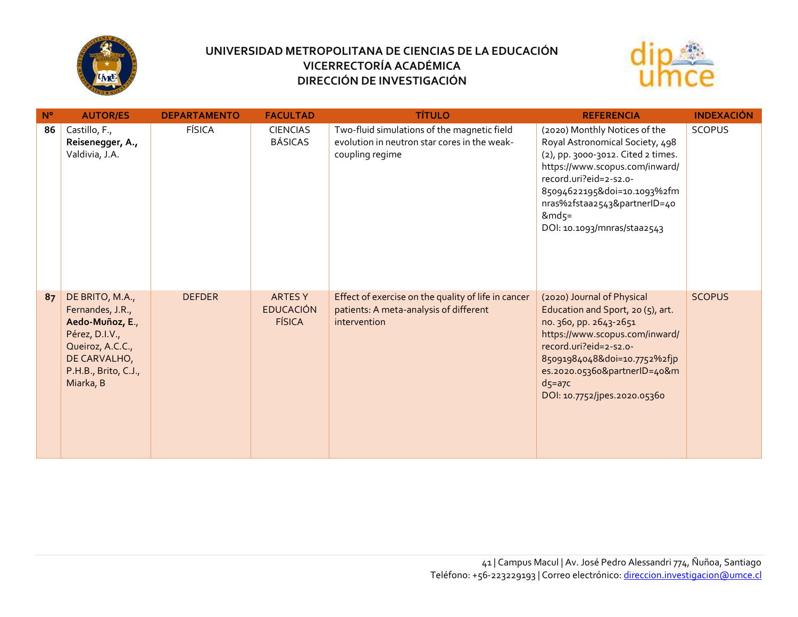



| $N^{\circ}$ | <b>AUTOR/ES</b>                                                                                                                                   | <b>DEPARTAMENTO</b> | <b>FACULTAD</b>                                     | <b>TÍTULO</b>                                                                                                  | <b>REFERENCIA</b>                                                                                                                                                                                                                                                           | <b>INDEXACIÓN</b> |
|-------------|---------------------------------------------------------------------------------------------------------------------------------------------------|---------------------|-----------------------------------------------------|----------------------------------------------------------------------------------------------------------------|-----------------------------------------------------------------------------------------------------------------------------------------------------------------------------------------------------------------------------------------------------------------------------|-------------------|
| 86          | Castillo, F.,<br>Reisenegger, A.,<br>Valdivia, J.A.                                                                                               | <b>FÍSICA</b>       | <b>CIENCIAS</b><br><b>BÁSICAS</b>                   | Two-fluid simulations of the magnetic field<br>evolution in neutron star cores in the weak-<br>coupling regime | (2020) Monthly Notices of the<br>Royal Astronomical Society, 498<br>(2), pp. 3000-3012. Cited 2 times.<br>https://www.scopus.com/inward/<br>record.uri?eid=2-s2.o-<br>85094622195&doi=10.1093%2fm<br>nras%2fstaa2543&partnerID=40<br>$&md5=$<br>DOI: 10.1093/mnras/staa2543 | <b>SCOPUS</b>     |
| 87          | DE BRITO, M.A.,<br>Fernandes, J.R.,<br>Aedo-Muñoz, E.,<br>Pérez, D.I.V.,<br>Queiroz, A.C.C.,<br>DE CARVALHO,<br>P.H.B., Brito, C.J.,<br>Miarka, B | <b>DEFDER</b>       | <b>ARTES Y</b><br><b>EDUCACIÓN</b><br><b>FÍSICA</b> | Effect of exercise on the quality of life in cancer<br>patients: A meta-analysis of different<br>intervention  | (2020) Journal of Physical<br>Education and Sport, 20 (5), art.<br>no. 360, pp. 2643-2651<br>https://www.scopus.com/inward/<br>record.uri?eid=2-s2.o-<br>85091984048&doi=10.7752%2fjp<br>es.2020.05360&partnerID=40&m<br>$d$ 5=a7 $c$<br>DOI: 10.7752/jpes.2020.05360       | <b>SCOPUS</b>     |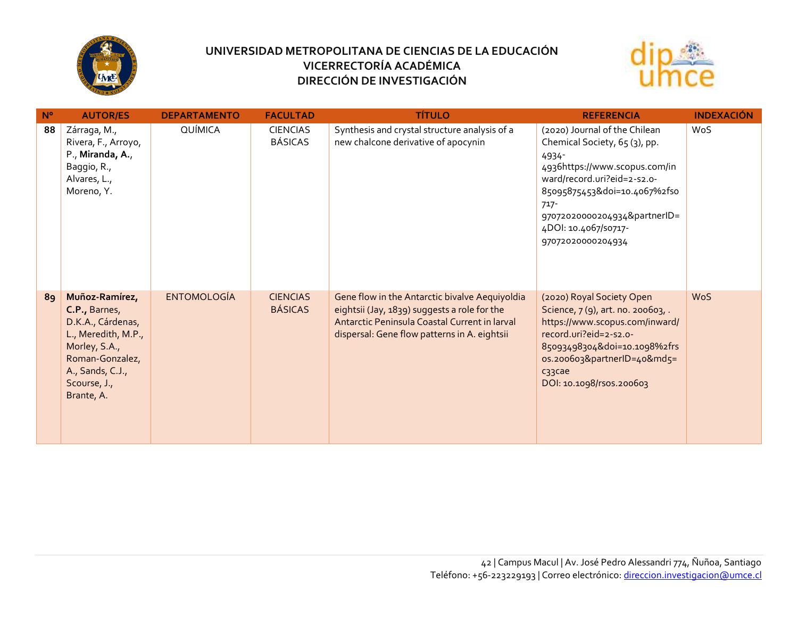



| $N^{\circ}$ | <b>AUTOR/ES</b>                                                                                                                                                   | <b>DEPARTAMENTO</b> | <b>FACULTAD</b>                   | <b>TÍTULO</b>                                                                                                                                                                                   | <b>REFERENCIA</b>                                                                                                                                                                                                                                               | <b>INDEXACIÓN</b> |
|-------------|-------------------------------------------------------------------------------------------------------------------------------------------------------------------|---------------------|-----------------------------------|-------------------------------------------------------------------------------------------------------------------------------------------------------------------------------------------------|-----------------------------------------------------------------------------------------------------------------------------------------------------------------------------------------------------------------------------------------------------------------|-------------------|
| 88          | Zárraga, M.,<br>Rivera, F., Arroyo,<br>P., Miranda, A.,<br>Baggio, R.,<br>Alvares, L.,<br>Moreno, Y.                                                              | QUÍMICA             | <b>CIENCIAS</b><br><b>BÁSICAS</b> | Synthesis and crystal structure analysis of a<br>new chalcone derivative of apocynin                                                                                                            | (2020) Journal of the Chilean<br>Chemical Society, 65 (3), pp.<br>4934-<br>4936https://www.scopus.com/in<br>ward/record.uri?eid=2-s2.o-<br>85095875453&doi=10.4067%2fso<br>$717 -$<br>97072020000204934&partnerID=<br>4DOI: 10.4067/50717-<br>97072020000204934 | WoS               |
| 89          | Muñoz-Ramírez,<br>C.P., Barnes,<br>D.K.A., Cárdenas,<br>L., Meredith, M.P.,<br>Morley, S.A.,<br>Roman-Gonzalez,<br>A., Sands, C.J.,<br>Scourse, J.,<br>Brante, A. | <b>ENTOMOLOGÍA</b>  | <b>CIENCIAS</b><br><b>BÁSICAS</b> | Gene flow in the Antarctic bivalve Aequiyoldia<br>eightsii (Jay, 1839) suggests a role for the<br>Antarctic Peninsula Coastal Current in larval<br>dispersal: Gene flow patterns in A. eightsii | (2020) Royal Society Open<br>Science, 7(9), art. no. 200603, .<br>https://www.scopus.com/inward/<br>record.uri?eid=2-s2.o-<br>85093498304&doi=10.1098%2frs<br>os.200603&partnerID=40&md5=<br>c33cae<br>DOI: 10.1098/rsos.200603                                 | <b>WoS</b>        |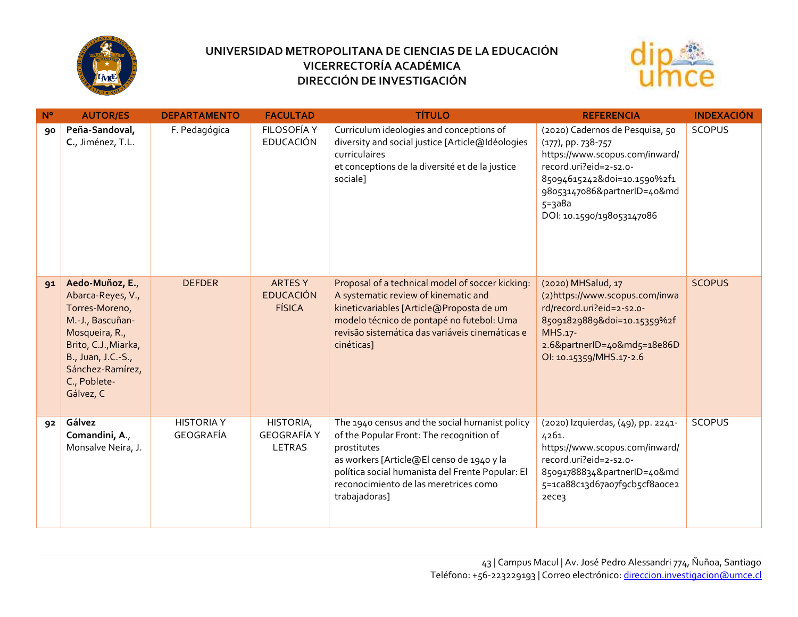



| $N^{\circ}$ | <b>AUTOR/ES</b>                                                                                                                                                                             | <b>DEPARTAMENTO</b>            | <b>FACULTAD</b>                                    | <b>TÍTULO</b>                                                                                                                                                                                                                                                        | <b>REFERENCIA</b>                                                                                                                                                                                                             | <b>INDEXACIÓN</b> |
|-------------|---------------------------------------------------------------------------------------------------------------------------------------------------------------------------------------------|--------------------------------|----------------------------------------------------|----------------------------------------------------------------------------------------------------------------------------------------------------------------------------------------------------------------------------------------------------------------------|-------------------------------------------------------------------------------------------------------------------------------------------------------------------------------------------------------------------------------|-------------------|
| 90          | Peña-Sandoval,<br>C., Jiménez, T.L.                                                                                                                                                         | F. Pedagógica                  | FILOSOFÍA Y<br><b>EDUCACIÓN</b>                    | Curriculum ideologies and conceptions of<br>diversity and social justice [Article@Idéologies<br>curriculaires<br>et conceptions de la diversité et de la justice<br>sociale]                                                                                         | (2020) Cadernos de Pesquisa, 50<br>$(177)$ , pp. 738-757<br>https://www.scopus.com/inward/<br>record.uri?eid=2-s2.o-<br>85094615242&doi=10.1590%2f1<br>98053147086&partnerID=40&md<br>$5 = 3a8a$<br>DOI: 10.1590/198053147086 | <b>SCOPUS</b>     |
| 91          | Aedo-Muñoz, E.,<br>Abarca-Reyes, V.,<br>Torres-Moreno,<br>M.-J., Bascuñan-<br>Mosqueira, R.,<br>Brito, C.J., Miarka,<br>B., Juan, J.C.-S.,<br>Sánchez-Ramírez,<br>C., Poblete-<br>Gálvez, C | <b>DEFDER</b>                  | <b>ARTESY</b><br><b>EDUCACIÓN</b><br><b>FÍSICA</b> | Proposal of a technical model of soccer kicking:<br>A systematic review of kinematic and<br>kineticvariables [Article@Proposta de um<br>modelo técnico de pontapé no futebol: Uma<br>revisão sistemática das variáveis cinemáticas e<br>cinéticas]                   | (2020) MHSalud, 17<br>(2) https://www.scopus.com/inwa<br>rd/record.uri?eid=2-s2.o-<br>85091829889&doi=10.15359%2f<br>MHS.17-<br>2.6&partnerID=40&md5=18e86D<br>OI: 10.15359/MHS.17-2.6                                        | <b>SCOPUS</b>     |
| 92          | Gálvez<br>Comandini, A.,<br>Monsalve Neira, J.                                                                                                                                              | <b>HISTORIA Y</b><br>GEOGRAFÍA | HISTORIA,<br><b>GEOGRAFÍA Y</b><br><b>LETRAS</b>   | The 1940 census and the social humanist policy<br>of the Popular Front: The recognition of<br>prostitutes<br>as workers [Article@El censo de 1940 y la<br>política social humanista del Frente Popular: El<br>reconocimiento de las meretrices como<br>trabajadoras] | (2020) Izquierdas, (49), pp. 2241-<br>4261.<br>https://www.scopus.com/inward/<br>record.uri?eid=2-s2.o-<br>85091788834&partnerID=40&md<br>5=1ca88c13d67ao7f9cb5cf8aoce2<br>2ece3                                              | <b>SCOPUS</b>     |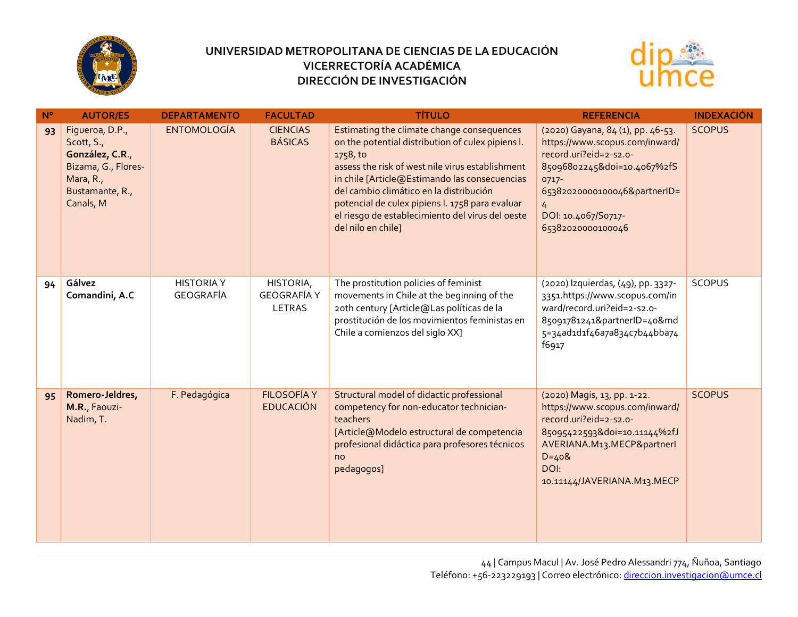



| $N^{\circ}$ | <b>AUTOR/ES</b>                                                                                                      | <b>DEPARTAMENTO</b>            | <b>FACULTAD</b>                           | <b>TÍTULO</b>                                                                                                                                                                                                                                                                                                                                                                            | <b>REFERENCIA</b>                                                                                                                                                                                                                   | <b>INDEXACIÓN</b> |
|-------------|----------------------------------------------------------------------------------------------------------------------|--------------------------------|-------------------------------------------|------------------------------------------------------------------------------------------------------------------------------------------------------------------------------------------------------------------------------------------------------------------------------------------------------------------------------------------------------------------------------------------|-------------------------------------------------------------------------------------------------------------------------------------------------------------------------------------------------------------------------------------|-------------------|
| 93          | Figueroa, D.P.,<br>Scott, S.,<br>González, C.R.,<br>Bizama, G., Flores-<br>Mara, R.,<br>Bustamante, R.,<br>Canals, M | <b>ENTOMOLOGÍA</b>             | <b>CIENCIAS</b><br><b>BÁSICAS</b>         | Estimating the climate change consequences<br>on the potential distribution of culex pipiens l.<br>1758, to<br>assess the risk of west nile virus establishment<br>in chile [Article@Estimando las consecuencias<br>del cambio climático en la distribución<br>potencial de culex pipiens l. 1758 para evaluar<br>el riesgo de establecimiento del virus del oeste<br>del nilo en chile] | (2020) Gayana, 84 (1), pp. 46-53.<br>https://www.scopus.com/inward/<br>record.uri?eid=2-s2.o-<br>85096802245&doi=10.4067%2fS<br>0717-<br>65382020000100046&partnerID=<br>$\overline{4}$<br>DOI: 10.4067/S0717-<br>65382020000100046 | <b>SCOPUS</b>     |
| 94          | Gálvez<br>Comandini, A.C                                                                                             | <b>HISTORIA Y</b><br>GEOGRAFÍA | HISTORIA,<br><b>GEOGRAFÍA Y</b><br>LETRAS | The prostitution policies of feminist<br>movements in Chile at the beginning of the<br>20th century [Article@Las políticas de la<br>prostitución de los movimientos feministas en<br>Chile a comienzos del siglo XX]                                                                                                                                                                     | (2020) Izquierdas, (49), pp. 3327-<br>3351.https://www.scopus.com/in<br>ward/record.uri?eid=2-s2.o-<br>85091781241&partnerID=40&md<br>5=34ad1d1f46a7a834c7b44bba74<br>f6917                                                         | <b>SCOPUS</b>     |
| 95          | Romero-Jeldres,<br>M.R., Faouzi-<br>Nadim, T.                                                                        | F. Pedagógica                  | <b>FILOSOFÍA Y</b><br><b>EDUCACIÓN</b>    | Structural model of didactic professional<br>competency for non-educator technician-<br>teachers<br>[Article@Modelo estructural de competencia<br>profesional didáctica para profesores técnicos<br>no<br>pedagogos]                                                                                                                                                                     | (2020) Magis, 13, pp. 1-22.<br>https://www.scopus.com/inward/<br>record.uri?eid=2-s2.o-<br>85095422593&doi=10.11144%2fJ<br>AVERIANA.M13.MECP&partnerl<br>$D = 408$<br>DOI:<br>10.11144/JAVERIANA.M13.MECP                           | <b>SCOPUS</b>     |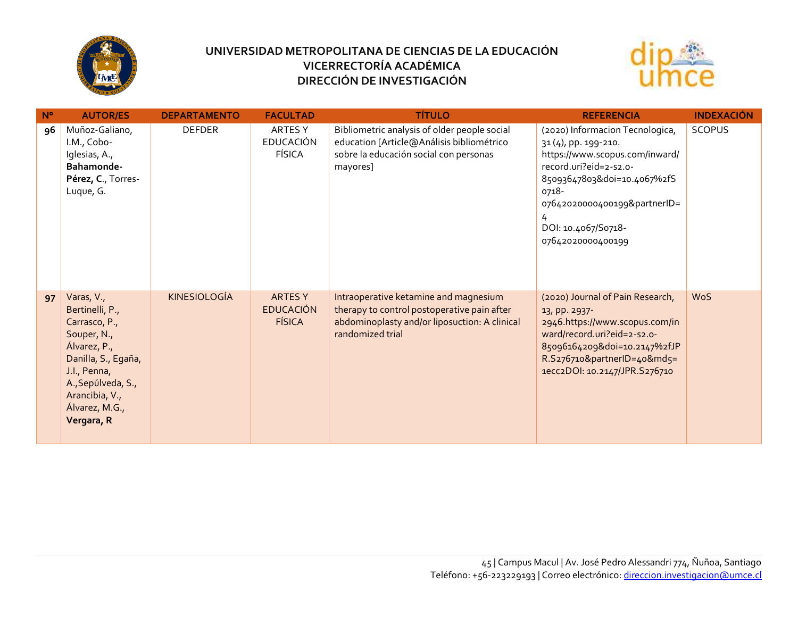



| $N^{\circ}$ | <b>AUTOR/ES</b>                                                                                                                                                                              | <b>DEPARTAMENTO</b> | <b>FACULTAD</b>                                    | <b>TÍTULO</b>                                                                                                                                             | <b>REFERENCIA</b>                                                                                                                                                                                                                            | <b>INDEXACIÓN</b> |
|-------------|----------------------------------------------------------------------------------------------------------------------------------------------------------------------------------------------|---------------------|----------------------------------------------------|-----------------------------------------------------------------------------------------------------------------------------------------------------------|----------------------------------------------------------------------------------------------------------------------------------------------------------------------------------------------------------------------------------------------|-------------------|
| 96          | Muñoz-Galiano,<br>I.M., Cobo-<br>Iglesias, A.,<br>Bahamonde-<br>Pérez, C., Torres-<br>Luque, G.                                                                                              | <b>DEFDER</b>       | ARTES Y<br><b>EDUCACIÓN</b><br><b>FÍSICA</b>       | Bibliometric analysis of older people social<br>education [Article@Análisis bibliométrico<br>sobre la educación social con personas<br>mayores]           | (2020) Informacion Tecnologica,<br>31 (4), pp. 199-210.<br>https://www.scopus.com/inward/<br>record.uri?eid=2-s2.o-<br>85093647803&doi=10.4067%2fS<br>0718-<br>07642020000400199&partnerID=<br>4<br>DOI: 10.4067/S0718-<br>07642020000400199 | <b>SCOPUS</b>     |
| 97          | Varas, V.,<br>Bertinelli, P.,<br>Carrasco, P.,<br>Souper, N.,<br>Álvarez, P.,<br>Danilla, S., Egaña,<br>J.I., Penna,<br>A., Sepúlveda, S.,<br>Arancibia, V.,<br>Álvarez, M.G.,<br>Vergara, R | <b>KINESIOLOGÍA</b> | <b>ARTESY</b><br><b>EDUCACIÓN</b><br><b>FÍSICA</b> | Intraoperative ketamine and magnesium<br>therapy to control postoperative pain after<br>abdominoplasty and/or liposuction: A clinical<br>randomized trial | (2020) Journal of Pain Research,<br>13, pp. 2937-<br>2946.https://www.scopus.com/in<br>ward/record.uri?eid=2-s2.o-<br>85096164209&doi=10.2147%2fJP<br>R.S276710&partnerID=40&md5=<br>1ecc2DOI: 10.2147/JPR.S276710                           | <b>WoS</b>        |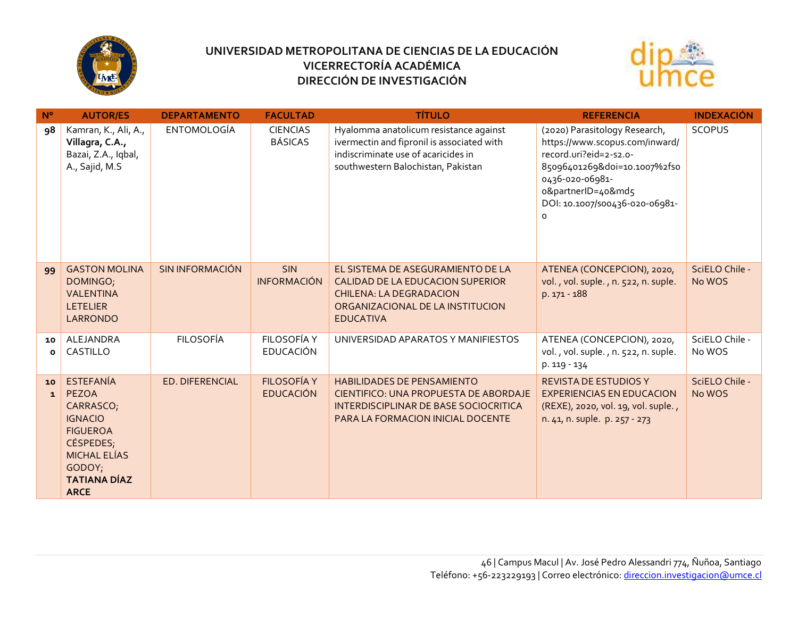



| $N^{\circ}$        | <b>AUTOR/ES</b>                                                                                                                                                 | <b>DEPARTAMENTO</b>    | <b>FACULTAD</b>                        | <b>TÍTULO</b>                                                                                                                                                          | <b>REFERENCIA</b>                                                                                                                                                                                                | <b>INDEXACIÓN</b>        |
|--------------------|-----------------------------------------------------------------------------------------------------------------------------------------------------------------|------------------------|----------------------------------------|------------------------------------------------------------------------------------------------------------------------------------------------------------------------|------------------------------------------------------------------------------------------------------------------------------------------------------------------------------------------------------------------|--------------------------|
| 98                 | Kamran, K., Ali, A.,<br>Villagra, C.A.,<br>Bazai, Z.A., Iqbal,<br>A., Sajid, M.S                                                                                | <b>ENTOMOLOGÍA</b>     | <b>CIENCIAS</b><br><b>BÁSICAS</b>      | Hyalomma anatolicum resistance against<br>ivermectin and fipronil is associated with<br>indiscriminate use of acaricides in<br>southwestern Balochistan, Pakistan      | (2020) Parasitology Research,<br>https://www.scopus.com/inward/<br>record.uri?eid=2-s2.o-<br>85096401269&doi=10.1007%2fs0<br>0436-020-06981-<br>o&partnerID=40&md5<br>DOI: 10.1007/500436-020-06981-<br>$\Omega$ | <b>SCOPUS</b>            |
| 99                 | <b>GASTON MOLINA</b><br>DOMINGO;<br><b>VALENTINA</b><br><b>LETELIER</b><br><b>LARRONDO</b>                                                                      | <b>SIN INFORMACIÓN</b> | <b>SIN</b><br><b>INFORMACIÓN</b>       | EL SISTEMA DE ASEGURAMIENTO DE LA<br>CALIDAD DE LA EDUCACION SUPERIOR<br><b>CHILENA: LA DEGRADACION</b><br>ORGANIZACIONAL DE LA INSTITUCION<br><b>EDUCATIVA</b>        | ATENEA (CONCEPCION), 2020,<br>vol., vol. suple., n. 522, n. suple.<br>p. 171 - 188                                                                                                                               | SciELO Chile -<br>No WOS |
| 10<br>$\mathbf{o}$ | ALEJANDRA<br>CASTILLO                                                                                                                                           | <b>FILOSOFÍA</b>       | <b>FILOSOFÍA Y</b><br><b>EDUCACIÓN</b> | UNIVERSIDAD APARATOS Y MANIFIESTOS                                                                                                                                     | ATENEA (CONCEPCION), 2020,<br>vol., vol. suple., n. 522, n. suple.<br>p. 119 - 134                                                                                                                               | SciELO Chile -<br>No WOS |
| 10<br>$\mathbf{1}$ | <b>ESTEFANÍA</b><br><b>PEZOA</b><br>CARRASCO;<br><b>IGNACIO</b><br><b>FIGUEROA</b><br>CÉSPEDES;<br>MICHAL ELÍAS<br>GODOY;<br><b>TATIANA DÍAZ</b><br><b>ARCE</b> | ED. DIFERENCIAL        | <b>FILOSOFÍA Y</b><br><b>EDUCACIÓN</b> | <b>HABILIDADES DE PENSAMIENTO</b><br><b>CIENTIFICO: UNA PROPUESTA DE ABORDAJE</b><br>INTERDISCIPLINAR DE BASE SOCIOCRITICA<br><b>PARA LA FORMACION INICIAL DOCENTE</b> | <b>REVISTA DE ESTUDIOS Y</b><br><b>EXPERIENCIAS EN EDUCACION</b><br>(REXE), 2020, vol. 19, vol. suple.,<br>n. 41, n. suple. p. 257 - 273                                                                         | SciELO Chile -<br>No WOS |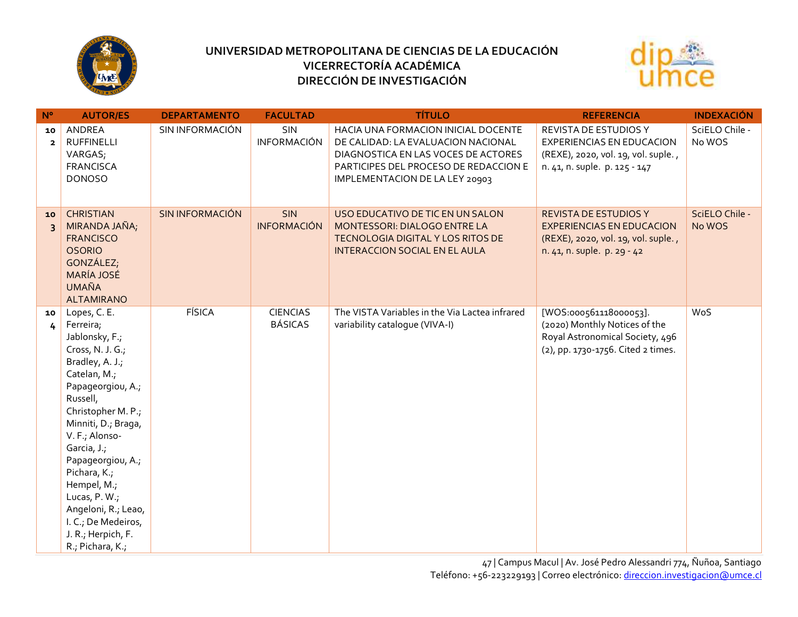



| $N^{\circ}$                   | <b>AUTOR/ES</b>                                                                                                                                                                                                                                                                                                                                                                | <b>DEPARTAMENTO</b> | <b>FACULTAD</b>                   | <b>TÍTULO</b>                                                                                                                                                                               | <b>REFERENCIA</b>                                                                                                                      | <b>INDEXACIÓN</b>        |
|-------------------------------|--------------------------------------------------------------------------------------------------------------------------------------------------------------------------------------------------------------------------------------------------------------------------------------------------------------------------------------------------------------------------------|---------------------|-----------------------------------|---------------------------------------------------------------------------------------------------------------------------------------------------------------------------------------------|----------------------------------------------------------------------------------------------------------------------------------------|--------------------------|
| 10<br>$\mathbf{2}$            | ANDREA<br><b>RUFFINELLI</b><br>VARGAS;<br><b>FRANCISCA</b><br><b>DONOSO</b>                                                                                                                                                                                                                                                                                                    | SIN INFORMACIÓN     | <b>SIN</b><br>INFORMACIÓN         | HACIA UNA FORMACION INICIAL DOCENTE<br>DE CALIDAD: LA EVALUACION NACIONAL<br>DIAGNOSTICA EN LAS VOCES DE ACTORES<br>PARTICIPES DEL PROCESO DE REDACCION E<br>IMPLEMENTACION DE LA LEY 20903 | REVISTA DE ESTUDIOS Y<br><b>EXPERIENCIAS EN EDUCACION</b><br>(REXE), 2020, vol. 19, vol. suple.,<br>n. 41, n. suple. p. 125 - 147      | SciELO Chile -<br>No WOS |
| 10<br>$\overline{\mathbf{3}}$ | <b>CHRISTIAN</b><br>MIRANDA JAÑA;<br><b>FRANCISCO</b><br><b>OSORIO</b><br>GONZÁLEZ;<br><b>MARÍA JOSÉ</b><br><b>UMAÑA</b><br><b>ALTAMIRANO</b>                                                                                                                                                                                                                                  | SIN INFORMACIÓN     | <b>SIN</b><br><b>INFORMACIÓN</b>  | USO EDUCATIVO DE TIC EN UN SALON<br>MONTESSORI: DIALOGO ENTRE LA<br>TECNOLOGIA DIGITAL Y LOS RITOS DE<br><b>INTERACCION SOCIAL EN EL AULA</b>                                               | <b>REVISTA DE ESTUDIOS Y</b><br><b>EXPERIENCIAS EN EDUCACION</b><br>(REXE), 2020, vol. 19, vol. suple.,<br>n. 41, n. suple. p. 29 - 42 | SciELO Chile -<br>No WOS |
| 10<br>4                       | Lopes, C. E.<br>Ferreira;<br>Jablonsky, F.;<br>Cross, N. J. G.;<br>Bradley, A. J.;<br>Catelan, M.;<br>Papageorgiou, A.;<br>Russell,<br>Christopher M. P.;<br>Minniti, D., Braga,<br>V. F.; Alonso-<br>Garcia, J.;<br>Papageorgiou, A.;<br>Pichara, K.;<br>Hempel, M.;<br>Lucas, P. W.;<br>Angeloni, R.; Leao,<br>I. C.; De Medeiros,<br>J. R.; Herpich, F.<br>R.; Pichara, K.; | <b>FÍSICA</b>       | <b>CIENCIAS</b><br><b>BÁSICAS</b> | The VISTA Variables in the Via Lactea infrared<br>variability catalogue (VIVA-I)                                                                                                            | [WOS:000561118000053].<br>(2020) Monthly Notices of the<br>Royal Astronomical Society, 496<br>(2), pp. 1730-1756. Cited 2 times.       | WoS                      |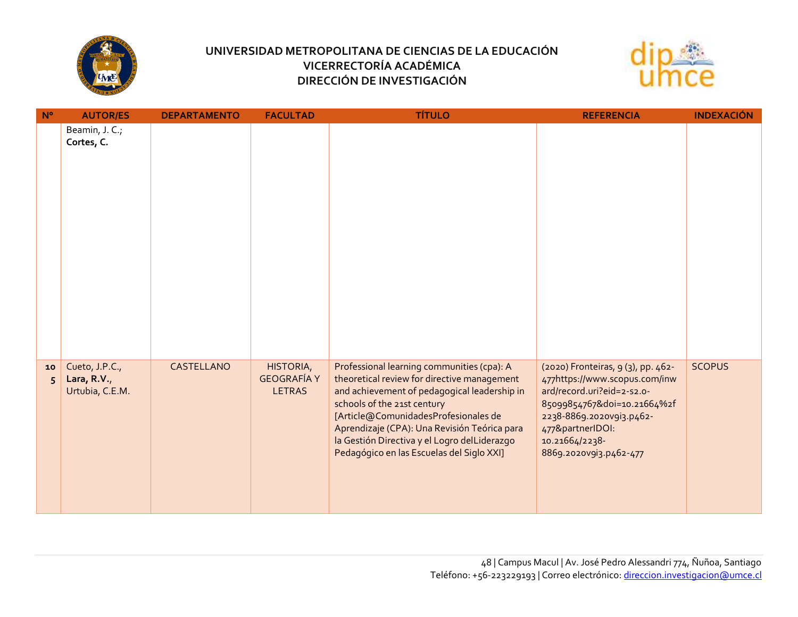



| $N^{\circ}$ | <b>AUTOR/ES</b>                                  | <b>DEPARTAMENTO</b> | <b>FACULTAD</b>                                  | <b>TÍTULO</b>                                                                                                                                                                                                                                                                                                                                                 | <b>REFERENCIA</b>                                                                                                                                                                                                            | <b>INDEXACIÓN</b> |
|-------------|--------------------------------------------------|---------------------|--------------------------------------------------|---------------------------------------------------------------------------------------------------------------------------------------------------------------------------------------------------------------------------------------------------------------------------------------------------------------------------------------------------------------|------------------------------------------------------------------------------------------------------------------------------------------------------------------------------------------------------------------------------|-------------------|
|             | Beamin, J. C.;<br>Cortes, C.                     |                     |                                                  |                                                                                                                                                                                                                                                                                                                                                               |                                                                                                                                                                                                                              |                   |
| 10<br>5     | Cueto, J.P.C.,<br>Lara, R.V.,<br>Urtubia, C.E.M. | CASTELLANO          | HISTORIA,<br><b>GEOGRAFÍA Y</b><br><b>LETRAS</b> | Professional learning communities (cpa): A<br>theoretical review for directive management<br>and achievement of pedagogical leadership in<br>schools of the 21st century<br>[Article@ComunidadesProfesionales de<br>Aprendizaje (CPA): Una Revisión Teórica para<br>la Gestión Directiva y el Logro delLiderazgo<br>Pedagógico en las Escuelas del Siglo XXI] | (2020) Fronteiras, 9 (3), pp. 462-<br>477https://www.scopus.com/inw<br>ard/record.uri?eid=2-s2.o-<br>85099854767&doi=10.21664%2f<br>2238-8869.2020v9i3.p462-<br>477&partnerIDOI:<br>10.21664/2238-<br>8869.2020v9i3.p462-477 | <b>SCOPUS</b>     |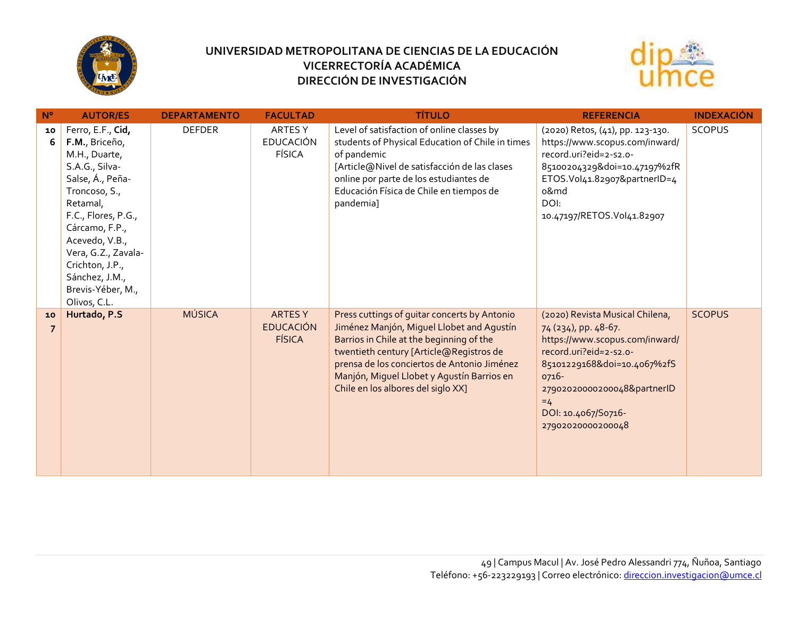



| $N^{\circ}$ | <b>AUTOR/ES</b>                                                                                                                                                                                                                                                                     | <b>DEPARTAMENTO</b> | <b>FACULTAD</b>                                    | <b>TÍTULO</b>                                                                                                                                                                                                                                                                                                       | <b>REFERENCIA</b>                                                                                                                                                                                                                              | <b>INDEXACIÓN</b> |
|-------------|-------------------------------------------------------------------------------------------------------------------------------------------------------------------------------------------------------------------------------------------------------------------------------------|---------------------|----------------------------------------------------|---------------------------------------------------------------------------------------------------------------------------------------------------------------------------------------------------------------------------------------------------------------------------------------------------------------------|------------------------------------------------------------------------------------------------------------------------------------------------------------------------------------------------------------------------------------------------|-------------------|
| 10<br>-6    | Ferro, E.F., Cid,<br>F.M., Briceño,<br>M.H., Duarte,<br>S.A.G., Silva-<br>Salse, Á., Peña-<br>Troncoso, S.,<br>Retamal,<br>F.C., Flores, P.G.,<br>Cárcamo, F.P.,<br>Acevedo, V.B.,<br>Vera, G.Z., Zavala-<br>Crichton, J.P.,<br>Sánchez, J.M.,<br>Brevis-Yéber, M.,<br>Olivos, C.L. | <b>DEFDER</b>       | ARTES Y<br><b>EDUCACIÓN</b><br><b>FÍSICA</b>       | Level of satisfaction of online classes by<br>students of Physical Education of Chile in times<br>of pandemic<br>[Article@Nivel de satisfacción de las clases<br>online por parte de los estudiantes de<br>Educación Física de Chile en tiempos de<br>pandemia]                                                     | (2020) Retos, (41), pp. 123-130.<br>https://www.scopus.com/inward/<br>record.uri?eid=2-s2.o-<br>85100204329&doi=10.47197%2fR<br>ETOS.Vol41.82907&partnerID=4<br>o&md<br>DOI:<br>10.47197/RETOS.Vol41.82907                                     | <b>SCOPUS</b>     |
| 10          | Hurtado, P.S                                                                                                                                                                                                                                                                        | <b>MÚSICA</b>       | <b>ARTESY</b><br><b>EDUCACIÓN</b><br><b>FÍSICA</b> | Press cuttings of guitar concerts by Antonio<br>Jiménez Manjón, Miguel Llobet and Agustín<br>Barrios in Chile at the beginning of the<br>twentieth century [Article@Registros de<br>prensa de los conciertos de Antonio Jiménez<br>Manjón, Miguel Llobet y Agustín Barrios en<br>Chile en los albores del siglo XX] | (2020) Revista Musical Chilena,<br>74 (234), pp. 48-67.<br>https://www.scopus.com/inward/<br>record.uri?eid=2-s2.o-<br>85101229168&doi=10.4067%2fS<br>0716-<br>27902020000200048&partnerID<br>$=4$<br>DOI: 10.4067/S0716-<br>27902020000200048 | <b>SCOPUS</b>     |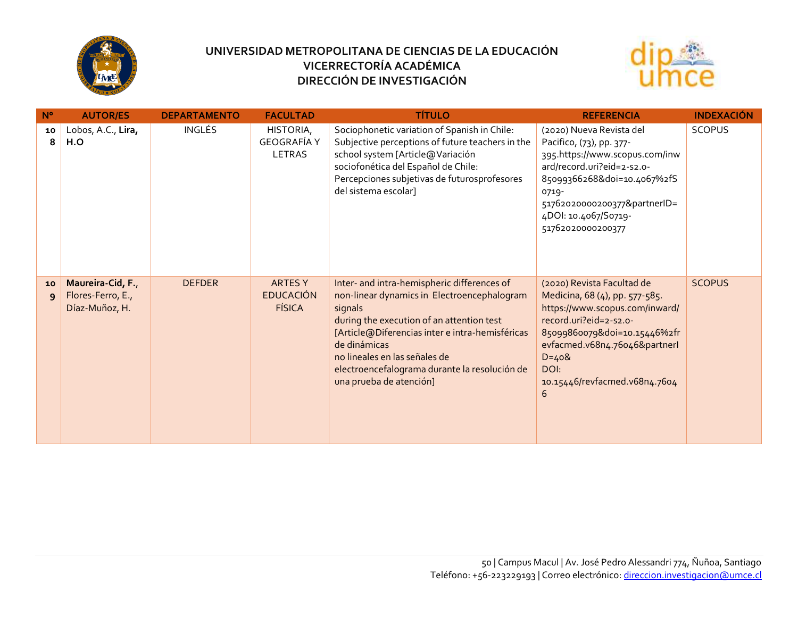



| $N^{\circ}$        | <b>AUTOR/ES</b>                                          | <b>DEPARTAMENTO</b> | <b>FACULTAD</b>                                     | <b>TÍTULO</b>                                                                                                                                                                                                                                                                                                                      | <b>REFERENCIA</b>                                                                                                                                                                                                                                    | <b>INDEXACIÓN</b> |
|--------------------|----------------------------------------------------------|---------------------|-----------------------------------------------------|------------------------------------------------------------------------------------------------------------------------------------------------------------------------------------------------------------------------------------------------------------------------------------------------------------------------------------|------------------------------------------------------------------------------------------------------------------------------------------------------------------------------------------------------------------------------------------------------|-------------------|
| 10<br>8            | Lobos, A.C., Lira,<br>H.O                                | INGLÉS              | HISTORIA,<br><b>GEOGRAFÍA Y</b><br>LETRAS           | Sociophonetic variation of Spanish in Chile:<br>Subjective perceptions of future teachers in the<br>school system [Article@Variación<br>sociofonética del Español de Chile:<br>Percepciones subjetivas de futurosprofesores<br>del sistema escolar]                                                                                | (2020) Nueva Revista del<br>Pacifico, (73), pp. 377-<br>395.https://www.scopus.com/inw<br>ard/record.uri?eid=2-s2.o-<br>85099366268&doi=10.4067%2fS<br>0719-<br>51762020000200377&partnerID=<br>4DOI: 10.4067/S0719-<br>51762020000200377            | <b>SCOPUS</b>     |
| 10<br>$\mathbf{q}$ | Maureira-Cid, F.,<br>Flores-Ferro, E.,<br>Díaz-Muñoz, H. | <b>DEFDER</b>       | <b>ARTES Y</b><br><b>EDUCACIÓN</b><br><b>FÍSICA</b> | Inter- and intra-hemispheric differences of<br>non-linear dynamics in Electroencephalogram<br>signals<br>during the execution of an attention test<br>[Article@Diferencias inter e intra-hemisféricas<br>de dinámicas<br>no lineales en las señales de<br>electroencefalograma durante la resolución de<br>una prueba de atención] | (2020) Revista Facultad de<br>Medicina, 68 (4), pp. 577-585.<br>https://www.scopus.com/inward/<br>record.uri?eid=2-s2.o-<br>85099860079&doi=10.15446%2fr<br>evfacmed.v68n4.76046&partnerl<br>$D = 408$<br>DOI:<br>10.15446/revfacmed.v68n4.7604<br>6 | <b>SCOPUS</b>     |